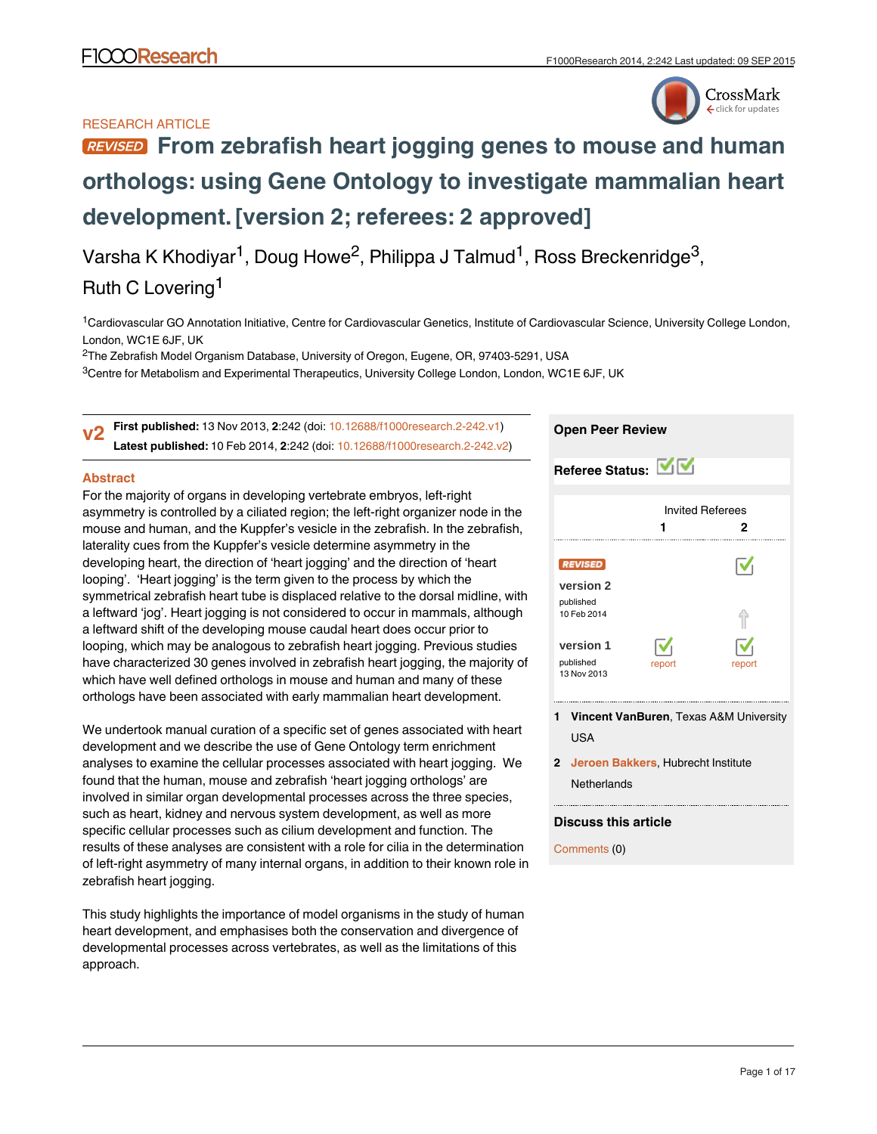## RESEARCH ARTICLE



# **[From zebrafish heart jogging genes to mouse and human](http://f1000research.com/articles/2-242/v2) [orthologs: using Gene Ontology to investigate mammalian heart](http://f1000research.com/articles/2-242/v2) [development.](http://f1000research.com/articles/2-242/v2)[version 2; referees: 2 approved]**

Varsha K Khodiyar<sup>1</sup>, Doug Howe<sup>2</sup>, Philippa J Talmud<sup>1</sup>, Ross Breckenridge<sup>3</sup>,

## Ruth C Lovering<sup>1</sup>

<sup>1</sup>Cardiovascular GO Annotation Initiative, Centre for Cardiovascular Genetics, Institute of Cardiovascular Science, University College London, London, WC1E 6JF, UK

 $^{2}$ The Zebrafish Model Organism Database, University of Oregon, Eugene, OR, 97403-5291, USA

 $^3$ Centre for Metabolism and Experimental Therapeutics, University College London, London, WC1E 6JF, UK

**First published:** 13 Nov 2013, **2**:242 (doi: [10.12688/f1000research.2-242.v1](http://dx.doi.org/10.12688/f1000research.2-242.v1)) **Latest published:** 10 Feb 2014, **2**:242 (doi: [10.12688/f1000research.2-242.v2](http://dx.doi.org/10.12688/f1000research.2-242.v2)) **v2**

## **Abstract**

For the majority of organs in developing vertebrate embryos, left-right asymmetry is controlled by a ciliated region; the left-right organizer node in the mouse and human, and the Kuppfer's vesicle in the zebrafish. In the zebrafish, laterality cues from the Kuppfer's vesicle determine asymmetry in the developing heart, the direction of 'heart jogging' and the direction of 'heart looping'. 'Heart jogging' is the term given to the process by which the symmetrical zebrafish heart tube is displaced relative to the dorsal midline, with a leftward 'jog'. Heart jogging is not considered to occur in mammals, although a leftward shift of the developing mouse caudal heart does occur prior to looping, which may be analogous to zebrafish heart jogging. Previous studies have characterized 30 genes involved in zebrafish heart jogging, the majority of which have well defined orthologs in mouse and human and many of these orthologs have been associated with early mammalian heart development.

We undertook manual curation of a specific set of genes associated with heart development and we describe the use of Gene Ontology term enrichment analyses to examine the cellular processes associated with heart jogging. We found that the human, mouse and zebrafish 'heart jogging orthologs' are involved in similar organ developmental processes across the three species, such as heart, kidney and nervous system development, as well as more specific cellular processes such as cilium development and function. The results of these analyses are consistent with a role for cilia in the determination of left-right asymmetry of many internal organs, in addition to their known role in zebrafish heart jogging.

This study highlights the importance of model organisms in the study of human heart development, and emphasises both the conservation and divergence of developmental processes across vertebrates, as well as the limitations of this approach.

## **Open Peer Review**

| Referee Status: MV                                      |                                   |                        |
|---------------------------------------------------------|-----------------------------------|------------------------|
|                                                         | <b>Invited Referees</b>           | 2                      |
| <b>REVISED</b><br>version 2<br>published<br>10 Feb 2014 |                                   | $\boldsymbol{\nabla}$  |
| version 1<br>published<br>13 Nov 2013                   | $\overline{\mathsf{v}}$<br>report | $\checkmark$<br>report |

- **Vincent VanBuren**, Texas A&M University **1** USA
- **Jeroen Bakkers**, Hubrecht Institute **2 Netherlands**

### **Discuss this article**

Comments (0)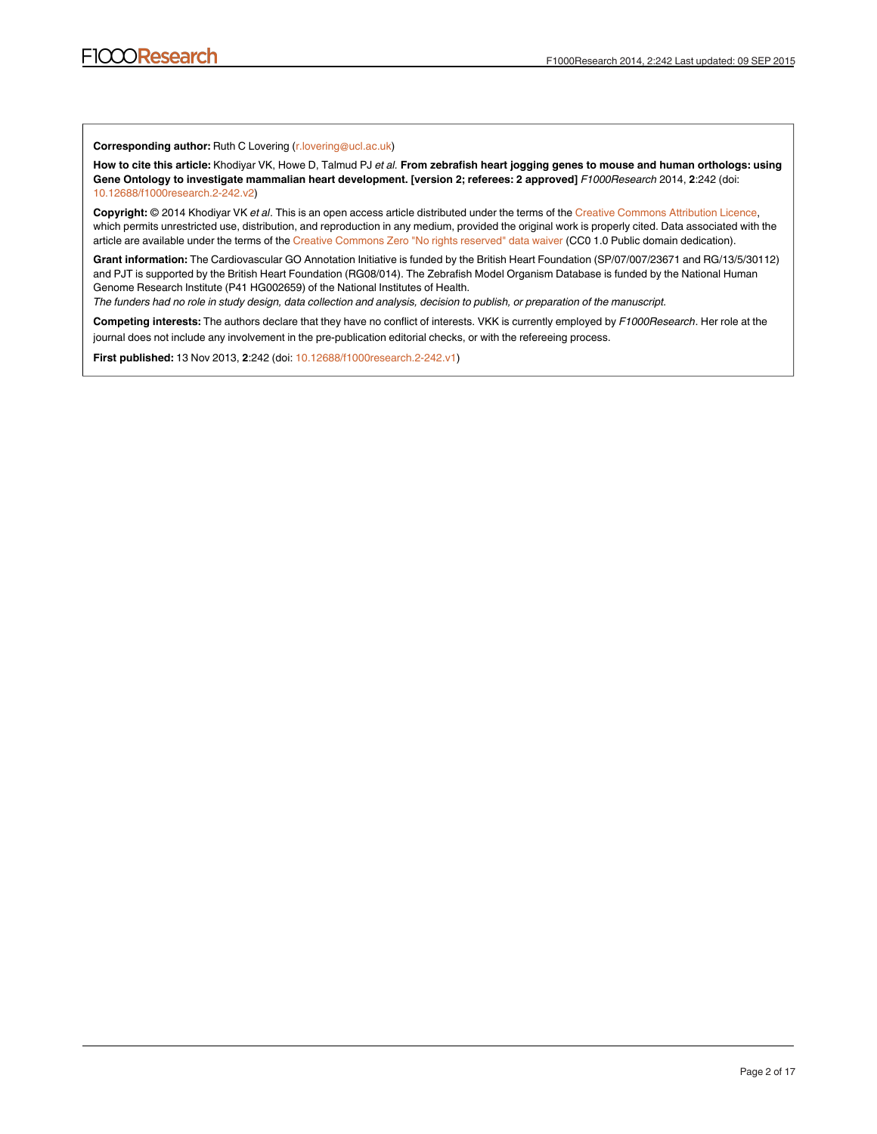**Corresponding author:** Ruth C Lovering (r.lovering@ucl.ac.uk)

**How to cite this article:** Khodiyar VK, Howe D, Talmud PJ *et al.* **From zebrafish heart jogging genes to mouse and human orthologs: using Gene Ontology to investigate mammalian heart development. [version 2; referees: 2 approved]** *F1000Research* 2014, **2**:242 (doi: [10.12688/f1000research.2-242.v2\)](http://dx.doi.org/10.12688/f1000research.2-242.v2)

**Copyright:** © 2014 Khodiyar VK *et al*. This is an open access article distributed under the terms of the [Creative Commons Attribution Licence,](http://creativecommons.org/licenses/by/3.0/) which permits unrestricted use, distribution, and reproduction in any medium, provided the original work is properly cited. Data associated with the article are available under the terms of the [Creative Commons Zero "No rights reserved" data waiver](http://creativecommons.org/publicdomain/zero/1.0/) (CC0 1.0 Public domain dedication).

**Grant information:** The Cardiovascular GO Annotation Initiative is funded by the British Heart Foundation (SP/07/007/23671 and RG/13/5/30112) and PJT is supported by the British Heart Foundation (RG08/014). The Zebrafish Model Organism Database is funded by the National Human Genome Research Institute (P41 HG002659) of the National Institutes of Health.

*The funders had no role in study design, data collection and analysis, decision to publish, or preparation of the manuscript.*

**Competing interests:** The authors declare that they have no conflict of interests. VKK is currently employed by *F1000Research*. Her role at the journal does not include any involvement in the pre-publication editorial checks, or with the refereeing process.

**First published:** 13 Nov 2013, **2**:242 (doi: [10.12688/f1000research.2-242.v1\)](http://dx.doi.org/10.12688/f1000research.2-242.v1)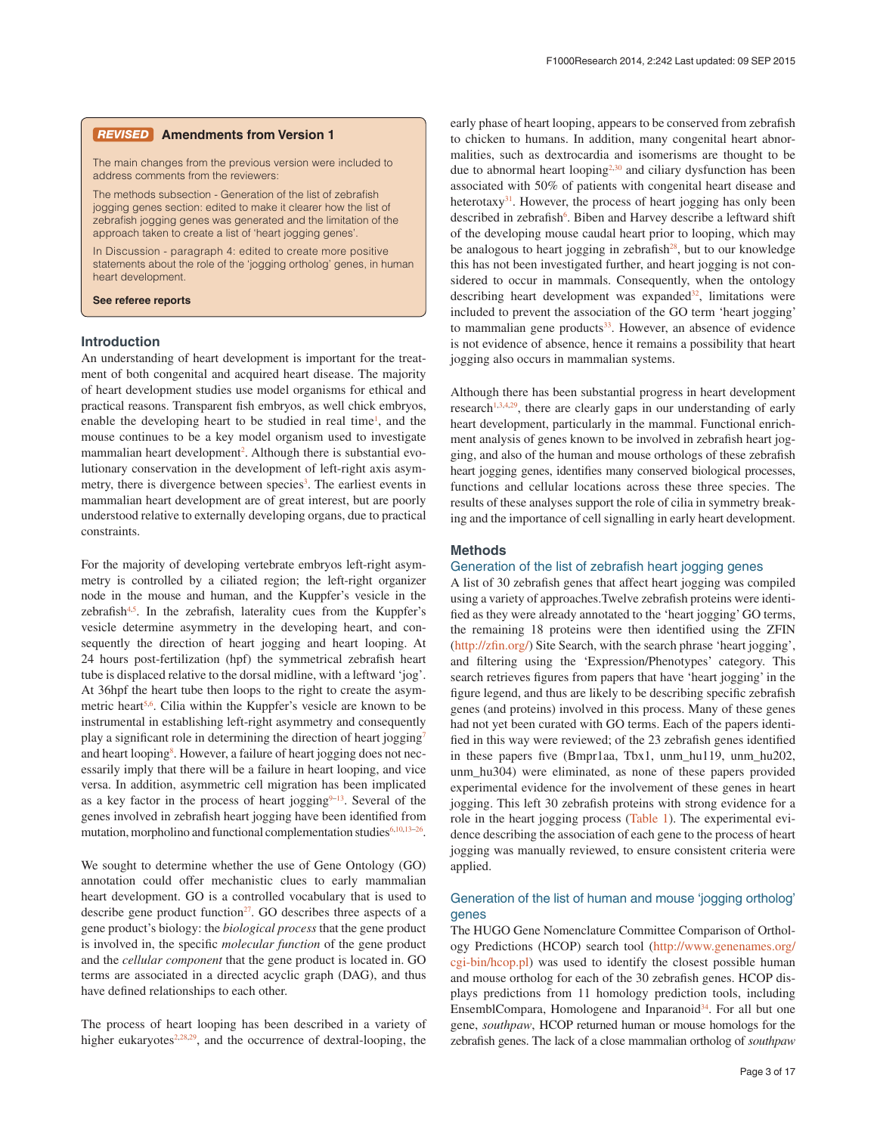#### **Amendments from Version 1**

The main changes from the previous version were included to address comments from the reviewers:

The methods subsection - Generation of the list of zebrafish jogging genes section: edited to make it clearer how the list of zebrafish jogging genes was generated and the limitation of the approach taken to create a list of 'heart jogging genes'.

In Discussion - paragraph 4: edited to create more positive statements about the role of the 'jogging ortholog' genes, in human heart development.

**See referee reports**

#### **Introduction**

An understanding of heart development is important for the treatment of both congenital and acquired heart disease. The majority of heart development studies use model organisms for ethical and practical reasons. Transparent fish embryos, as well chick embryos, enable the developing heart to be studied in real time<sup>1</sup>, and the mouse continues to be a key model organism used to investigate mammalian heart development<sup>2</sup>. Although there is substantial evolutionary conservation in the development of left-right axis asymmetry, there is divergence between species<sup>3</sup>. The earliest events in mammalian heart development are of great interest, but are poorly understood relative to externally developing organs, due to practical constraints.

For the majority of developing vertebrate embryos left-right asymmetry is controlled by a ciliated region; the left-right organizer node in the mouse and human, and the Kuppfer's vesicle in the zebrafish $4.5$ . In the zebrafish, laterality cues from the Kuppfer's vesicle determine asymmetry in the developing heart, and consequently the direction of heart jogging and heart looping. At 24 hours post-fertilization (hpf) the symmetrical zebrafish heart tube is displaced relative to the dorsal midline, with a leftward 'jog'. At 36hpf the heart tube then loops to the right to create the asymmetric heart<sup>5,6</sup>. Cilia within the Kuppfer's vesicle are known to be instrumental in establishing left-right asymmetry and consequently play a significant role in determining the direction of heart jogging<sup>7</sup> and heart looping<sup>[8](#page-10-0)</sup>. However, a failure of heart jogging does not necessarily imply that there will be a failure in heart looping, and vice versa. In addition, asymmetric cell migration has been implicated as a key factor in the process of heart jogging $9-13$ . Several of the genes involved in zebrafish heart jogging have been identified from mutation, morpholino and functional complementation studies $6,10,13-26$  $6,10,13-26$ .

We sought to determine whether the use of Gene Ontology (GO) annotation could offer mechanistic clues to early mammalian heart development. GO is a controlled vocabulary that is used to describe gene product function $27$ . GO describes three aspects of a gene product's biology: the *biological process* that the gene product is involved in, the specific *molecular function* of the gene product and the *cellular component* that the gene product is located in. GO terms are associated in a directed acyclic graph (DAG), and thus have defined relationships to each other.

The process of heart looping has been described in a variety of higher eukaryotes $2,28,29$  $2,28,29$  $2,28,29$ , and the occurrence of dextral-looping, the

early phase of heart looping, appears to be conserved from zebrafish to chicken to humans. In addition, many congenital heart abnormalities, such as dextrocardia and isomerisms are thought to be due to abnormal heart looping<sup>2,[30](#page-11-0)</sup> and ciliary dysfunction has been associated with 50% of patients with congenital heart disease and heterotaxy<sup>31</sup>. However, the process of heart jogging has only been described in zebrafish<sup>6</sup>. Biben and Harvey describe a leftward shift of the developing mouse caudal heart prior to looping, which may be analogous to heart jogging in zebrafish $28$ , but to our knowledge this has not been investigated further, and heart jogging is not considered to occur in mammals. Consequently, when the ontology describing heart development was expanded<sup>[32](#page-11-0)</sup>, limitations were included to prevent the association of the GO term 'heart jogging' to mammalian gene products $33$ . However, an absence of evidence is not evidence of absence, hence it remains a possibility that heart jogging also occurs in mammalian systems.

Although there has been substantial progress in heart development research<sup>1,3,4[,29](#page-11-0)</sup>, there are clearly gaps in our understanding of early heart development, particularly in the mammal. Functional enrichment analysis of genes known to be involved in zebrafish heart jogging, and also of the human and mouse orthologs of these zebrafish heart jogging genes, identifies many conserved biological processes, functions and cellular locations across these three species. The results of these analyses support the role of cilia in symmetry breaking and the importance of cell signalling in early heart development.

#### **Methods**

#### Generation of the list of zebrafish heart jogging genes

A list of 30 zebrafish genes that affect heart jogging was compiled using a variety of approaches.Twelve zebrafish proteins were identified as they were already annotated to the 'heart jogging' GO terms, the remaining 18 proteins were then identified using the ZFIN (<http://zfin.org/>) Site Search, with the search phrase 'heart jogging', and filtering using the 'Expression/Phenotypes' category. This search retrieves figures from papers that have 'heart jogging' in the figure legend, and thus are likely to be describing specific zebrafish genes (and proteins) involved in this process. Many of these genes had not yet been curated with GO terms. Each of the papers identified in this way were reviewed; of the 23 zebrafish genes identified in these papers five (Bmpr1aa, Tbx1, unm\_hu119, unm\_hu202, unm\_hu304) were eliminated, as none of these papers provided experimental evidence for the involvement of these genes in heart jogging. This left 30 zebrafish proteins with strong evidence for a role in the heart jogging process ([Table 1](#page-3-0)). The experimental evidence describing the association of each gene to the process of heart jogging was manually reviewed, to ensure consistent criteria were applied.

#### Generation of the list of human and mouse 'jogging ortholog' genes

The HUGO Gene Nomenclature Committee Comparison of Orthology Predictions (HCOP) search tool [\(http://www.genenames.org/](http://www.genenames.org/cgi-bin/hcop.pl) [cgi-bin/hcop.pl](http://www.genenames.org/cgi-bin/hcop.pl)) was used to identify the closest possible human and mouse ortholog for each of the 30 zebrafish genes. HCOP displays predictions from 11 homology prediction tools, including EnsemblCompara, Homologene and Inparanoid<sup>34</sup>. For all but one gene, *southpaw*, HCOP returned human or mouse homologs for the zebrafish genes. The lack of a close mammalian ortholog of *southpaw*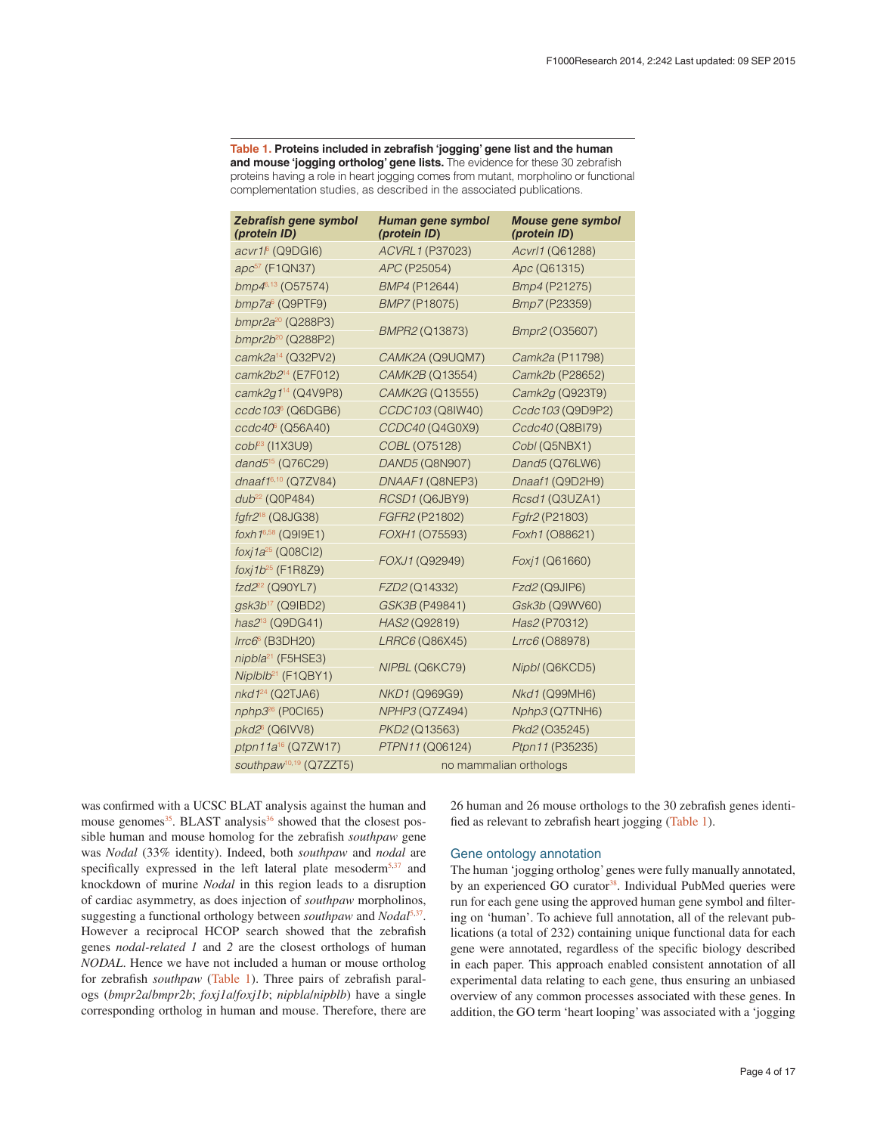<span id="page-3-0"></span>**Table 1. Proteins included in zebrafish 'jogging' gene list and the human and mouse 'jogging ortholog' gene lists.** The evidence for these 30 zebrafish proteins having a role in heart jogging comes from mutant, morpholino or functional complementation studies, as described in the associated publications.

| Zebrafish gene symbol<br>(protein ID) | Human gene symbol<br>(protein ID) | <b>Mouse gene symbol</b><br>(protein ID) |  |  |  |  |
|---------------------------------------|-----------------------------------|------------------------------------------|--|--|--|--|
| acvr1 <sup>6</sup> (Q9DGI6)           | ACVRL1 (P37023)                   | Acvrl1 (Q61288)                          |  |  |  |  |
| apc <sup>57</sup> (F1QN37)            | APC (P25054)                      | Apc (Q61315)                             |  |  |  |  |
| bmp46,13 (O57574)                     | BMP4 (P12644)                     | Bmp4 (P21275)                            |  |  |  |  |
| $bmp7a6$ (Q9PTF9)                     | BMP7 (P18075)                     | Bmp7 (P23359)                            |  |  |  |  |
| bmpr2a <sup>20</sup> (Q288P3)         |                                   |                                          |  |  |  |  |
| bmpr2b <sup>20</sup> (Q288P2)         | BMPR2 (Q13873)                    | Bmpr2 (035607)                           |  |  |  |  |
| camk2a <sup>14</sup> (Q32PV2)         | CAMK2A (Q9UQM7)                   | Camk2a (P11798)                          |  |  |  |  |
| camk2b2 <sup>14</sup> (E7F012)        | CAMK2B (Q13554)                   | Camk2b (P28652)                          |  |  |  |  |
| camk2g1 <sup>14</sup> (Q4V9P8)        | CAMK2G (Q13555)                   | Camk2g (Q923T9)                          |  |  |  |  |
| ccdc103° (Q6DGB6)                     | CCDC103 (Q8IW40)                  | Ccdc103 (Q9D9P2)                         |  |  |  |  |
| ccdc40 <sup>6</sup> (Q56A40)          | CCDC40 (Q4G0X9)                   | Ccdc40 (Q8BI79)                          |  |  |  |  |
| $cob^{23}$ (11X3U9)                   | COBL (075128)                     | Cobl (Q5NBX1)                            |  |  |  |  |
| dand5 <sup>15</sup> (Q76C29)          | DAND5 (Q8N907)                    | Dand5 (Q76LW6)                           |  |  |  |  |
| dnaaf16,10 (Q7ZV84)                   | DNAAF1 (Q8NEP3)                   | Dnaaf1 (Q9D2H9)                          |  |  |  |  |
| dub <sup>22</sup> (Q0P484)            | RCSD1 (Q6JBY9)                    | Rcsd1 (Q3UZA1)                           |  |  |  |  |
| fgfr2 <sup>18</sup> (Q8JG38)          | FGFR2 (P21802)                    | Fgfr2 (P21803)                           |  |  |  |  |
| foxh 16,58 (Q919E1)                   | FOXH1 (075593)                    | Foxh1 (O88621)                           |  |  |  |  |
| foxj1 $a^{25}$ (Q08Cl2)               | FOXJ1 (Q92949)                    | Foxj1 (Q61660)                           |  |  |  |  |
| $foxj1b^{25}$ (F1R8Z9)                |                                   |                                          |  |  |  |  |
| fzd2 <sup>22</sup> (Q90YL7)           | FZD2 (Q14332)                     | Fzd2 (Q9JIP6)                            |  |  |  |  |
| gsk3b <sup>17</sup> (Q9IBD2)          | GSK3B (P49841)                    | Gsk3b (Q9WV60)                           |  |  |  |  |
| has2 <sup>13</sup> (Q9DG41)           | HAS2 (Q92819)                     | Has2 (P70312)                            |  |  |  |  |
| $Irrc66$ (B3DH20)                     | LRRC6 (Q86X45)                    | Lrrc6 (O88978)                           |  |  |  |  |
| nipbla <sup>21</sup> (F5HSE3)         | NIPBL (Q6KC79)                    | Nipbl (Q6KCD5)                           |  |  |  |  |
| $Niplblb21$ (F1QBY1)                  |                                   |                                          |  |  |  |  |
| nkd1 <sup>24</sup> (Q2TJA6)           | NKD1 (Q969G9)                     | Nkd1 (Q99MH6)                            |  |  |  |  |
| nphp3 <sup>26</sup> (P0Cl65)          | NPHP3 (Q7Z494)                    | Nphp3 (Q7TNH6)                           |  |  |  |  |
| pkd2 <sup>6</sup> (Q6IVV8)            | PKD2 (Q13563)                     | Pkd2 (O35245)                            |  |  |  |  |
| ptpn11a <sup>16</sup> (Q7ZW17)        | PTPN11 (Q06124)                   | Ptpn11 (P35235)                          |  |  |  |  |
| southpaw <sup>10,19</sup> (Q7ZZT5)    | no mammalian orthologs            |                                          |  |  |  |  |

was confirmed with a UCSC BLAT analysis against the human and mouse genomes<sup>35</sup>. BLAST analysis<sup>[36](#page-11-0)</sup> showed that the closest possible human and mouse homolog for the zebrafish *southpaw* gene was *Nodal* (33% identity). Indeed, both *southpaw* and *nodal* are specifically expressed in the left lateral plate mesoderm<sup>5,[37](#page-11-0)</sup> and knockdown of murine *Nodal* in this region leads to a disruption of cardiac asymmetry, as does injection of *southpaw* morpholinos, suggesting a functional orthology between *southpaw* and *Nodal*[5,](#page-10-0)[37](#page-11-0). However a reciprocal HCOP search showed that the zebrafish genes *nodal-related 1* and *2* are the closest orthologs of human *NODAL*. Hence we have not included a human or mouse ortholog for zebrafish *southpaw* (Table 1). Three pairs of zebrafish paralogs (*bmpr2a*/*bmpr2b*; *foxj1a*/*foxj1b*; *nipbla*/*nipblb*) have a single corresponding ortholog in human and mouse. Therefore, there are

26 human and 26 mouse orthologs to the 30 zebrafish genes identified as relevant to zebrafish heart jogging (Table 1).

#### Gene ontology annotation

The human 'jogging ortholog' genes were fully manually annotated, by an experienced GO curator<sup>38</sup>. Individual PubMed queries were run for each gene using the approved human gene symbol and filtering on 'human'. To achieve full annotation, all of the relevant publications (a total of 232) containing unique functional data for each gene were annotated, regardless of the specific biology described in each paper. This approach enabled consistent annotation of all experimental data relating to each gene, thus ensuring an unbiased overview of any common processes associated with these genes. In addition, the GO term 'heart looping' was associated with a 'jogging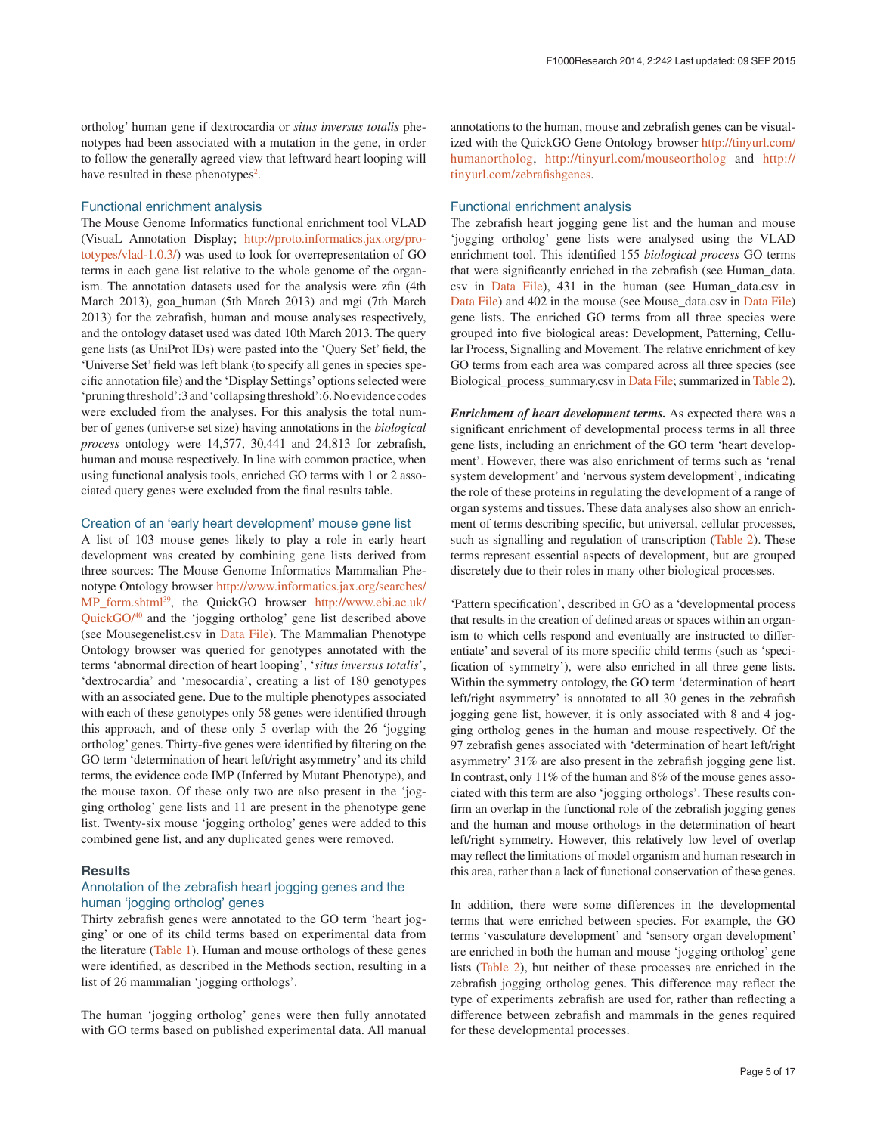ortholog' human gene if dextrocardia or *situs inversus totalis* phenotypes had been associated with a mutation in the gene, in order to follow the generally agreed view that leftward heart looping will have resulted in these phenotypes<sup>2</sup>.

#### Functional enrichment analysis

The Mouse Genome Informatics functional enrichment tool VLAD (VisuaL Annotation Display; [http://proto.informatics.jax.org/pro](http://proto.informatics.jax.org/prototypes/vlad-1.0.3/)[totypes/vlad-1.0.3/](http://proto.informatics.jax.org/prototypes/vlad-1.0.3/)) was used to look for overrepresentation of GO terms in each gene list relative to the whole genome of the organism. The annotation datasets used for the analysis were zfin (4th March 2013), goa\_human (5th March 2013) and mgi (7th March 2013) for the zebrafish, human and mouse analyses respectively, and the ontology dataset used was dated 10th March 2013. The query gene lists (as UniProt IDs) were pasted into the 'Query Set' field, the 'Universe Set' field was left blank (to specify all genes in species specific annotation file) and the 'Display Settings' options selected were 'pruning threshold':3 and 'collapsing threshold':6. No evidence codes were excluded from the analyses. For this analysis the total number of genes (universe set size) having annotations in the *biological process* ontology were 14,577, 30,441 and 24,813 for zebrafish, human and mouse respectively. In line with common practice, when using functional analysis tools, enriched GO terms with 1 or 2 associated query genes were excluded from the final results table.

#### Creation of an 'early heart development' mouse gene list

A list of 103 mouse genes likely to play a role in early heart development was created by combining gene lists derived from three sources: The Mouse Genome Informatics Mammalian Phenotype Ontology browser [http://www.informatics.jax.org/searches/](http://www.informatics.jax.org/searches/MP_form.shtml) [MP\\_form.shtml](http://www.informatics.jax.org/searches/MP_form.shtml)[39](#page-11-0), the QuickGO browser [http://www.ebi.ac.uk/](http://www.ebi.ac.uk/QuickGO/) [QuickGO/](http://www.ebi.ac.uk/QuickGO/)[40](#page-11-0) and the 'jogging ortholog' gene list described above (see Mousegenelist.csv in [Data File\)](#page-7-0). The Mammalian Phenotype Ontology browser was queried for genotypes annotated with the terms 'abnormal direction of heart looping', '*situs inversus totalis*', 'dextrocardia' and 'mesocardia', creating a list of 180 genotypes with an associated gene. Due to the multiple phenotypes associated with each of these genotypes only 58 genes were identified through this approach, and of these only 5 overlap with the 26 'jogging ortholog' genes. Thirty-five genes were identified by filtering on the GO term 'determination of heart left/right asymmetry' and its child terms, the evidence code IMP (Inferred by Mutant Phenotype), and the mouse taxon. Of these only two are also present in the 'jogging ortholog' gene lists and 11 are present in the phenotype gene list. Twenty-six mouse 'jogging ortholog' genes were added to this combined gene list, and any duplicated genes were removed.

#### **Results**

#### Annotation of the zebrafish heart jogging genes and the human 'jogging ortholog' genes

Thirty zebrafish genes were annotated to the GO term 'heart jogging' or one of its child terms based on experimental data from the literature [\(Table 1\)](#page-3-0). Human and mouse orthologs of these genes were identified, as described in the Methods section, resulting in a list of 26 mammalian 'jogging orthologs'.

The human 'jogging ortholog' genes were then fully annotated with GO terms based on published experimental data. All manual annotations to the human, mouse and zebrafish genes can be visualized with the QuickGO Gene Ontology browser [http://tinyurl.com/](http://tinyurl.com/humanortholog) [humanortholog](http://tinyurl.com/humanortholog), <http://tinyurl.com/mouseortholog> and [http://](http://tinyurl.com/zebrafishgenes) [tinyurl.com/zebrafishgenes.](http://tinyurl.com/zebrafishgenes)

#### Functional enrichment analysis

The zebrafish heart jogging gene list and the human and mouse 'jogging ortholog' gene lists were analysed using the VLAD enrichment tool. This identified 155 *biological process* GO terms that were significantly enriched in the zebrafish (see Human\_data. csv in [Data File](#page-7-0)), 431 in the human (see Human\_data.csv in [Data File\)](#page-7-0) and 402 in the mouse (see Mouse\_data.csv in [Data File\)](#page-7-0) gene lists. The enriched GO terms from all three species were grouped into five biological areas: Development, Patterning, Cellular Process, Signalling and Movement. The relative enrichment of key GO terms from each area was compared across all three species (see Biological\_process\_summary.csv in [Data File;](#page-7-0) summarized in [Table 2\)](#page-5-0).

*Enrichment of heart development terms.* As expected there was a significant enrichment of developmental process terms in all three gene lists, including an enrichment of the GO term 'heart development'. However, there was also enrichment of terms such as 'renal system development' and 'nervous system development', indicating the role of these proteins in regulating the development of a range of organ systems and tissues. These data analyses also show an enrichment of terms describing specific, but universal, cellular processes, such as signalling and regulation of transcription [\(Table 2](#page-5-0)). These terms represent essential aspects of development, but are grouped discretely due to their roles in many other biological processes.

'Pattern specification', described in GO as a 'developmental process that results in the creation of defined areas or spaces within an organism to which cells respond and eventually are instructed to differentiate' and several of its more specific child terms (such as 'specification of symmetry'), were also enriched in all three gene lists. Within the symmetry ontology, the GO term 'determination of heart left/right asymmetry' is annotated to all 30 genes in the zebrafish jogging gene list, however, it is only associated with 8 and 4 jogging ortholog genes in the human and mouse respectively. Of the 97 zebrafish genes associated with 'determination of heart left/right asymmetry' 31% are also present in the zebrafish jogging gene list. In contrast, only 11% of the human and 8% of the mouse genes associated with this term are also 'jogging orthologs'. These results confirm an overlap in the functional role of the zebrafish jogging genes and the human and mouse orthologs in the determination of heart left/right symmetry. However, this relatively low level of overlap may reflect the limitations of model organism and human research in this area, rather than a lack of functional conservation of these genes.

In addition, there were some differences in the developmental terms that were enriched between species. For example, the GO terms 'vasculature development' and 'sensory organ development' are enriched in both the human and mouse 'jogging ortholog' gene lists ([Table 2](#page-5-0)), but neither of these processes are enriched in the zebrafish jogging ortholog genes. This difference may reflect the type of experiments zebrafish are used for, rather than reflecting a difference between zebrafish and mammals in the genes required for these developmental processes.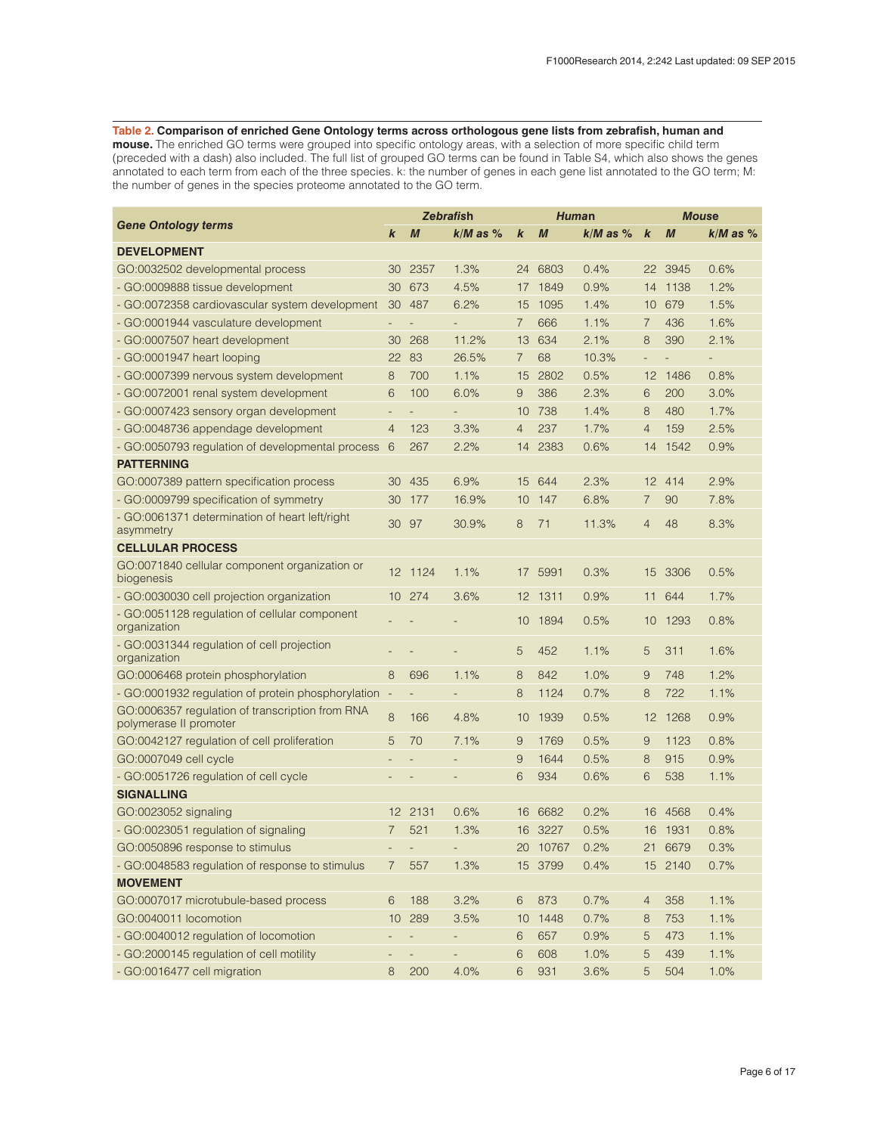#### <span id="page-5-0"></span>**Table 2. Comparison of enriched Gene Ontology terms across orthologous gene lists from zebrafish, human and**

**mouse.** The enriched GO terms were grouped into specific ontology areas, with a selection of more specific child term (preceded with a dash) also included. The full list of grouped GO terms can be found in Table S4, which also shows the genes annotated to each term from each of the three species. k: the number of genes in each gene list annotated to the GO term; M: the number of genes in the species proteome annotated to the GO term.

|                                                                           |                          | <b>Zebrafish</b>         |                          |                  | Human            |              | <b>Mouse</b>     |                  |              |
|---------------------------------------------------------------------------|--------------------------|--------------------------|--------------------------|------------------|------------------|--------------|------------------|------------------|--------------|
| <b>Gene Ontology terms</b>                                                | k                        | $\boldsymbol{M}$         | $k/M$ as $%$             | $\boldsymbol{k}$ | $\boldsymbol{M}$ | $k/M$ as $%$ | $\boldsymbol{k}$ | $\boldsymbol{M}$ | $k/M$ as $%$ |
| <b>DEVELOPMENT</b>                                                        |                          |                          |                          |                  |                  |              |                  |                  |              |
| GO:0032502 developmental process                                          | 30                       | 2357                     | 1.3%                     | 24               | 6803             | 0.4%         | 22               | 3945             | 0.6%         |
| - GO:0009888 tissue development                                           | 30                       | 673                      | 4.5%                     |                  | 17 1849          | 0.9%         |                  | 14 1138          | 1.2%         |
| - GO:0072358 cardiovascular system development                            | 30                       | 487                      | 6.2%                     | 15               | 1095             | 1.4%         | 10               | 679              | 1.5%         |
| - GO:0001944 vasculature development                                      |                          |                          |                          | 7                | 666              | 1.1%         | $\overline{7}$   | 436              | 1.6%         |
| - GO:0007507 heart development                                            | 30                       | 268                      | 11.2%                    | 13               | 634              | 2.1%         | 8                | 390              | 2.1%         |
| - GO:0001947 heart looping                                                | 22                       | 83                       | 26.5%                    | $\overline{7}$   | 68               | 10.3%        | $\frac{1}{2}$    |                  |              |
| - GO:0007399 nervous system development                                   | 8                        | 700                      | 1.1%                     | 15               | 2802             | 0.5%         | 12               | 1486             | 0.8%         |
| - GO:0072001 renal system development                                     | 6                        | 100                      | 6.0%                     | 9                | 386              | 2.3%         | 6                | 200              | 3.0%         |
| - GO:0007423 sensory organ development                                    | $\overline{a}$           |                          |                          | 10               | 738              | 1.4%         | 8                | 480              | 1.7%         |
| - GO:0048736 appendage development                                        | 4                        | 123                      | 3.3%                     | 4                | 237              | 1.7%         | $\overline{4}$   | 159              | 2.5%         |
| - GO:0050793 regulation of developmental process                          | 6                        | 267                      | 2.2%                     | 14               | 2383             | 0.6%         | 14               | 1542             | 0.9%         |
| <b>PATTERNING</b>                                                         |                          |                          |                          |                  |                  |              |                  |                  |              |
| GO:0007389 pattern specification process                                  | 30                       | 435                      | 6.9%                     | 15               | 644              | 2.3%         | 12               | 414              | 2.9%         |
| - GO:0009799 specification of symmetry                                    | 30                       | 177                      | 16.9%                    | 10               | 147              | 6.8%         | 7                | 90               | 7.8%         |
| - GO:0061371 determination of heart left/right<br>asymmetry               | 30                       | 97                       | 30.9%                    | 8                | 71               | 11.3%        | $\overline{4}$   | 48               | 8.3%         |
| <b>CELLULAR PROCESS</b>                                                   |                          |                          |                          |                  |                  |              |                  |                  |              |
| GO:0071840 cellular component organization or<br>biogenesis               |                          | 12 1124                  | 1.1%                     |                  | 17 5991          | 0.3%         | 15               | 3306             | 0.5%         |
| - GO:0030030 cell projection organization                                 |                          | 10 274                   | 3.6%                     |                  | 12 1311          | 0.9%         | 11               | 644              | 1.7%         |
| - GO:0051128 regulation of cellular component<br>organization             |                          |                          |                          | 10               | 1894             | 0.5%         | 10               | 1293             | 0.8%         |
| - GO:0031344 regulation of cell projection<br>organization                |                          |                          |                          | 5                | 452              | 1.1%         | 5                | 311              | 1.6%         |
| GO:0006468 protein phosphorylation                                        | 8                        | 696                      | 1.1%                     | 8                | 842              | 1.0%         | 9                | 748              | 1.2%         |
| - GO:0001932 regulation of protein phosphorylation                        | $\overline{\phantom{a}}$ |                          | $\overline{\phantom{a}}$ | 8                | 1124             | 0.7%         | 8                | 722              | 1.1%         |
| GO:0006357 regulation of transcription from RNA<br>polymerase II promoter | 8                        | 166                      | 4.8%                     | 10               | 1939             | 0.5%         | 12               | 1268             | 0.9%         |
| GO:0042127 regulation of cell proliferation                               | 5                        | 70                       | 7.1%                     | 9                | 1769             | 0.5%         | 9                | 1123             | 0.8%         |
| GO:0007049 cell cycle                                                     |                          |                          |                          | 9                | 1644             | 0.5%         | 8                | 915              | 0.9%         |
| - GO:0051726 regulation of cell cycle                                     |                          |                          |                          | 6                | 934              | 0.6%         | 6                | 538              | 1.1%         |
| <b>SIGNALLING</b>                                                         |                          |                          |                          |                  |                  |              |                  |                  |              |
| GO:0023052 signaling                                                      | 12                       | 2131                     | 0.6%                     | 16               | 6682             | 0.2%         | 16               | 4568             | 0.4%         |
| - GO:0023051 regulation of signaling                                      | 7                        | 521                      | 1.3%                     | 16               | 3227             | 0.5%         | 16               | 1931             | 0.8%         |
| GO:0050896 response to stimulus                                           |                          |                          |                          |                  | 20 10767         | 0.2%         | 21               | 6679             | 0.3%         |
| - GO:0048583 regulation of response to stimulus                           | 7                        | 557                      | 1.3%                     |                  | 15 3799          | 0.4%         |                  | 15 2140          | 0.7%         |
| <b>MOVEMENT</b>                                                           |                          |                          |                          |                  |                  |              |                  |                  |              |
| GO:0007017 microtubule-based process                                      | 6                        | 188                      | 3.2%                     | 6                | 873              | 0.7%         | $\overline{4}$   | 358              | 1.1%         |
| GO:0040011 locomotion                                                     | 10                       | 289                      | 3.5%                     | 10               | 1448             | 0.7%         | 8                | 753              | 1.1%         |
| - GO:0040012 regulation of locomotion                                     |                          | -                        |                          | 6                | 657              | 0.9%         | 5                | 473              | 1.1%         |
| - GO:2000145 regulation of cell motility                                  |                          | $\overline{\phantom{0}}$ |                          | 6                | 608              | 1.0%         | 5                | 439              | 1.1%         |
| - GO:0016477 cell migration                                               | 8                        | 200                      | 4.0%                     | 6                | 931              | 3.6%         | 5                | 504              | 1.0%         |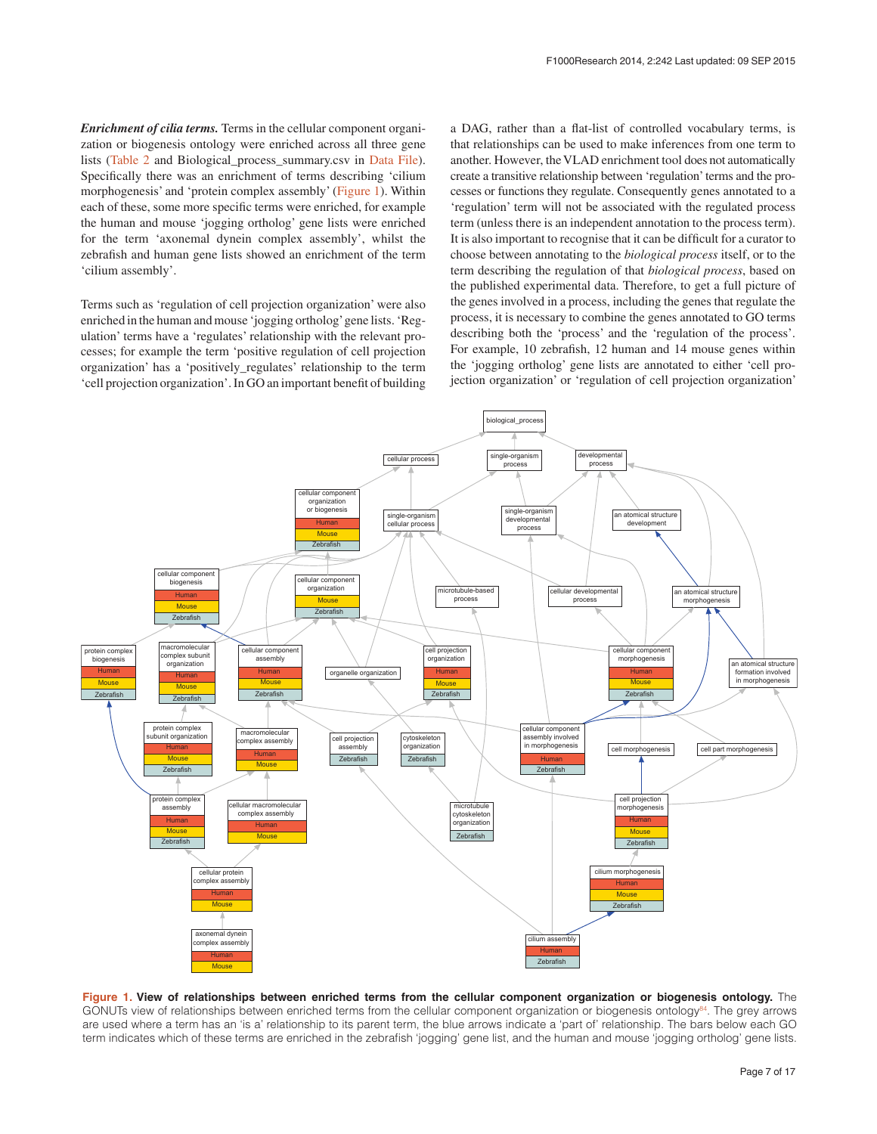<span id="page-6-0"></span>*Enrichment of cilia terms.* Terms in the cellular component organization or biogenesis ontology were enriched across all three gene lists [\(Table 2](#page-5-0) and Biological\_process\_summary.csv in [Data File](#page-7-0)). Specifically there was an enrichment of terms describing 'cilium morphogenesis' and 'protein complex assembly' (Figure 1). Within each of these, some more specific terms were enriched, for example the human and mouse 'jogging ortholog' gene lists were enriched for the term 'axonemal dynein complex assembly', whilst the zebrafish and human gene lists showed an enrichment of the term 'cilium assembly'.

Terms such as 'regulation of cell projection organization' were also enriched in the human and mouse 'jogging ortholog' gene lists. 'Regulation' terms have a 'regulates' relationship with the relevant processes; for example the term 'positive regulation of cell projection organization' has a 'positively\_regulates' relationship to the term 'cell projection organization'. In GO an important benefit of building a DAG, rather than a flat-list of controlled vocabulary terms, is that relationships can be used to make inferences from one term to another. However, the VLAD enrichment tool does not automatically create a transitive relationship between 'regulation' terms and the processes or functions they regulate. Consequently genes annotated to a 'regulation' term will not be associated with the regulated process term (unless there is an independent annotation to the process term). It is also important to recognise that it can be difficult for a curator to choose between annotating to the *biological process* itself, or to the term describing the regulation of that *biological process*, based on the published experimental data. Therefore, to get a full picture of the genes involved in a process, including the genes that regulate the process, it is necessary to combine the genes annotated to GO terms describing both the 'process' and the 'regulation of the process'. For example, 10 zebrafish, 12 human and 14 mouse genes within the 'jogging ortholog' gene lists are annotated to either 'cell projection organization' or 'regulation of cell projection organization'



**Figure 1. View of relationships between enriched terms from the cellular component organization or biogenesis ontology.** The GONUTs view of relationships between enriched terms from the cellular component organization or biogenesis ontology<sup>84</sup>. The grey arrows are used where a term has an 'is a' relationship to its parent term, the blue arrows indicate a 'part of' relationship. The bars below each GO term indicates which of these terms are enriched in the zebrafish 'jogging' gene list, and the human and mouse 'jogging ortholog' gene lists.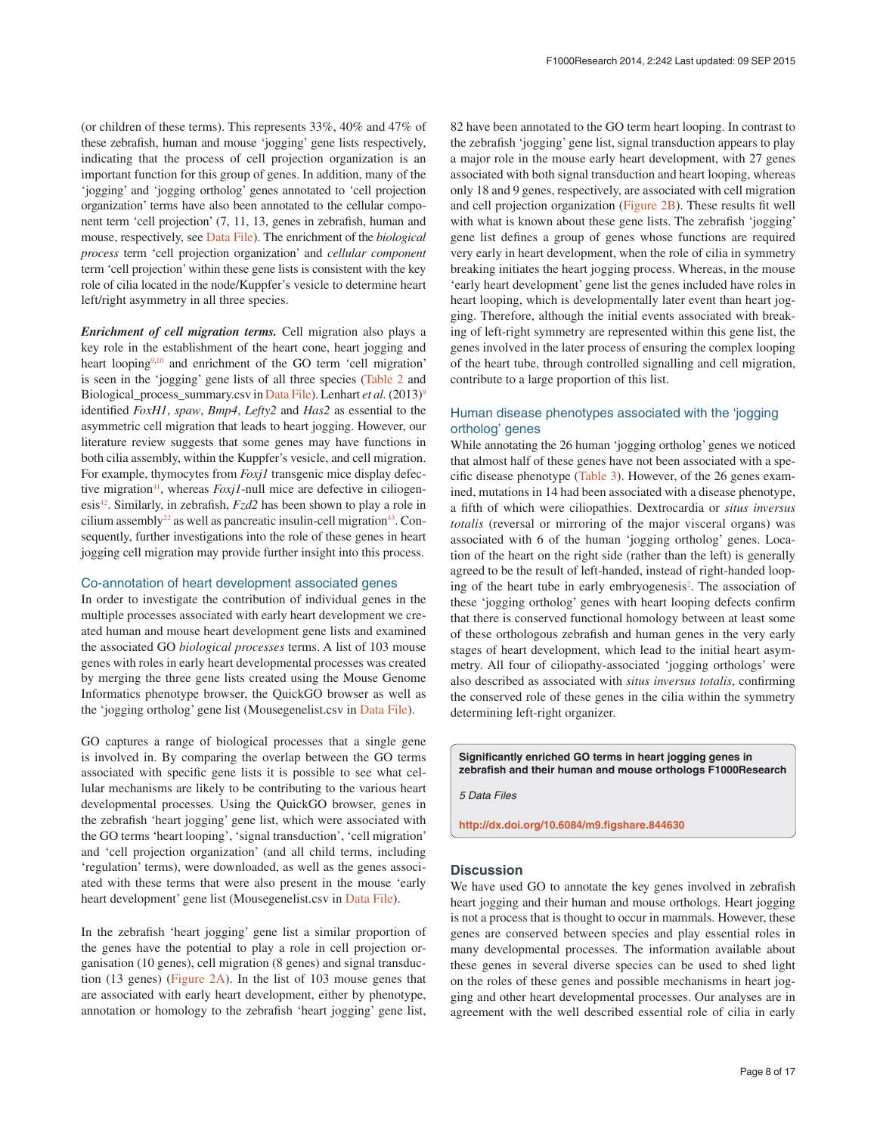<span id="page-7-0"></span>(or children of these terms). This represents 33%, 40% and 47% of these zebrafish, human and mouse 'jogging' gene lists respectively, indicating that the process of cell projection organization is an important function for this group of genes. In addition, many of the 'jogging' and 'jogging ortholog' genes annotated to 'cell projection organization' terms have also been annotated to the cellular component term 'cell projection' (7, 11, 13, genes in zebrafish, human and mouse, respectively, see Data File). The enrichment of the *biological process* term 'cell projection organization' and *cellular component* term 'cell projection' within these gene lists is consistent with the key role of cilia located in the node/Kuppfer's vesicle to determine heart left/right asymmetry in all three species.

*Enrichment of cell migration terms.* Cell migration also plays a key role in the establishment of the heart cone, heart jogging and heart looping<sup>9,10</sup> and enrichment of the GO term 'cell migration' is seen in the 'jogging' gene lists of all three species ([Table 2](#page-5-0) and Biological\_pr[oc](#page-11-0)ess\_summary.csv in Data File). Lenhart *et al.* (2013)<sup>9</sup> identified *FoxH1*, *spaw*, *Bmp4*, *Lefty2* and *Has2* as essential to the asymmetric cell migration that leads to heart jogging. However, our literature review suggests that some genes may have functions in both cilia assembly, within the Kuppfer's vesicle, and cell migration. For example, thymocytes from *Foxj1* transgenic mice display defective migration<sup>41</sup>, whereas *Foxj1*-null mice are defective in ciliogenesi[s42](#page-11-0). Similarly, in zebrafish, *Fzd2* has been shown to play a role in cilium assembly<sup>22</sup> as well as pancreatic insulin-cell migration<sup>43</sup>. Consequently, further investigations into the role of these genes in heart jogging cell migration may provide further insight into this process.

#### Co-annotation of heart development associated genes

In order to investigate the contribution of individual genes in the multiple processes associated with early heart development we created human and mouse heart development gene lists and examined the associated GO *biological processes* terms. A list of 103 mouse genes with roles in early heart developmental processes was created by merging the three gene lists created using the Mouse Genome Informatics phenotype browser, the QuickGO browser as well as the 'jogging ortholog' gene list (Mousegenelist.csv in Data File).

GO captures a range of biological processes that a single gene is involved in. By comparing the overlap between the GO terms associated with specific gene lists it is possible to see what cellular mechanisms are likely to be contributing to the various heart developmental processes. Using the QuickGO browser, genes in the zebrafish 'heart jogging' gene list, which were associated with the GO terms 'heart looping', 'signal transduction', 'cell migration' and 'cell projection organization' (and all child terms, including 'regulation' terms), were downloaded, as well as the genes associated with these terms that were also present in the mouse 'early heart development' gene list (Mousegenelist.csv in Data File).

In the zebrafish 'heart jogging' gene list a similar proportion of the genes have the potential to play a role in cell projection organisation (10 genes), cell migration (8 genes) and signal transduction (13 genes) [\(Figure 2A](#page-8-0)). In the list of 103 mouse genes that are associated with early heart development, either by phenotype, annotation or homology to the zebrafish 'heart jogging' gene list,

82 have been annotated to the GO term heart looping. In contrast to the zebrafish 'jogging' gene list, signal transduction appears to play a major role in the mouse early heart development, with 27 genes associated with both signal transduction and heart looping, whereas only 18 and 9 genes, respectively, are associated with cell migration and cell projection organization [\(Figure 2B](#page-8-0)). These results fit well with what is known about these gene lists. The zebrafish 'jogging' gene list defines a group of genes whose functions are required very early in heart development, when the role of cilia in symmetry breaking initiates the heart jogging process. Whereas, in the mouse 'early heart development' gene list the genes included have roles in heart looping, which is developmentally later event than heart jogging. Therefore, although the initial events associated with breaking of left-right symmetry are represented within this gene list, the genes involved in the later process of ensuring the complex looping of the heart tube, through controlled signalling and cell migration, contribute to a large proportion of this list.

#### Human disease phenotypes associated with the 'jogging ortholog' genes

While annotating the 26 human 'jogging ortholog' genes we noticed that almost half of these genes have not been associated with a specific disease phenotype [\(Table 3\)](#page-9-0). However, of the 26 genes examined, mutations in 14 had been associated with a disease phenotype, a fifth of which were ciliopathies. Dextrocardia or *situs inversus totalis* (reversal or mirroring of the major visceral organs) was associated with 6 of the human 'jogging ortholog' genes. Location of the heart on the right side (rather than the left) is generally agreed to be the result of left-handed, instead of right-handed loop-ing of the heart tube in early embryogenesis<sup>[2](#page-10-0)</sup>. The association of these 'jogging ortholog' genes with heart looping defects confirm that there is conserved functional homology between at least some of these orthologous zebrafish and human genes in the very early stages of heart development, which lead to the initial heart asymmetry. All four of ciliopathy-associated 'jogging orthologs' were also described as associated with *situs inversus totalis*, confirming the conserved role of these genes in the cilia within the symmetry determining left-right organizer.

**Significantly enriched GO terms in heart jogging genes in zebrafish and their human and mouse orthologs F1000Research**

*5 Data Files*

**<http://dx.doi.org/10.6084/m9.figshare.844630>**

#### **Discussion**

We have used GO to annotate the key genes involved in zebrafish heart jogging and their human and mouse orthologs. Heart jogging is not a process that is thought to occur in mammals. However, these genes are conserved between species and play essential roles in many developmental processes. The information available about these genes in several diverse species can be used to shed light on the roles of these genes and possible mechanisms in heart jogging and other heart developmental processes. Our analyses are in agreement with the well described essential role of cilia in early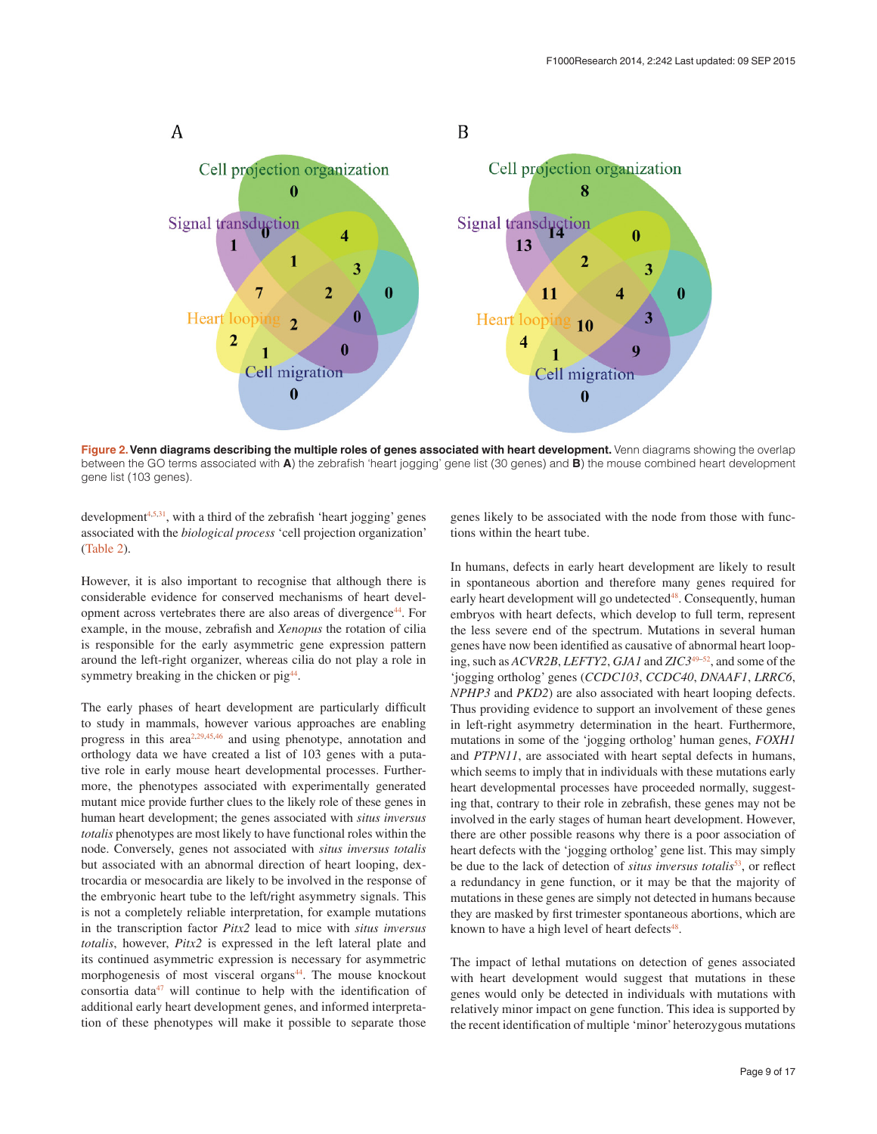<span id="page-8-0"></span>

**Figure 2. Venn [d](#page-11-0)iagrams describing the multiple roles of genes associated with heart development. Venn diagrams showing the overlap** between the GO terms associated with **A**) the zebrafish 'heart jogging' gene list (30 genes) and **B**) the mouse combined heart development gene list (103 genes).

development<sup>[4,5](#page-10-0),31</sup>, with a third of the zebrafish 'heart jogging' genes associated with the *biological process* 'cell projection organization' ([Table 2](#page-5-0)).

However, it is also important to recognise that although there is considerable evidence for conserved mechanisms of heart development across vertebrates there are also areas of divergence<sup>44</sup>. For example, in the mouse, zebrafish and *Xenopus* the rotation of cilia is responsible for the early asymmetric gene expression pattern around the left-right organizer, whereas cilia do not play a role in symmetry breaking in the chicken or pig<sup>44</sup>.

The early phases of heart development are particularly difficult to study in mammals, however various approaches are enabling progress in this area<sup>2,29,45,46</sup> and using phenotype, annotation and orthology data we have created a list of 103 genes with a putative role in early mouse heart developmental processes. Furthermore, the phenotypes associated with experimentally generated mutant mice provide further clues to the likely role of these genes in human heart development; the genes associated with *situs inversus totalis* phenotypes are most likely to have functional roles within the node. Conversely, genes not associated with *situs inversus totalis* but associated with an abnormal direction of heart looping, dextrocardia or mesocardia are likely to be involved in the response of the embryonic heart tube to the left/right asymmetry signals. This is not a completely reliable interpretation, for example mutations in the transcription factor *Pitx2* lead to mice with *situs inversus totalis*, however, *Pitx2* is expressed in the left lateral plate and its continued asymmetric expression is necessary for asymmetric morphogenesis of most visceral organs<sup>44</sup>. The mouse knockout consortia dat[a47](#page-11-0) will continue to help with the identification of additional early heart development genes, and informed interpretation of these phenotypes will make it possible to separate those

genes likely to be associated with the node from those with functions within the heart tube.

In humans, defects in early heart development are likely to result in spontaneous abortion and therefore many genes required for early heart development will go undetected<sup>48</sup>. Consequently, human embryos with heart defects, which develop to full term, represent the less severe end of the spectrum. Mutations in several human genes have now been identified as causative of abnormal heart looping, such as *ACVR2B*, *LEFTY2*, *GJA1* and *ZIC3*[49–52](#page-11-0), and some of the 'jogging ortholog' genes (*CCDC103*, *CCDC40*, *DNAAF1*, *LRRC6*, *NPHP3* and *PKD2*) are also associated with heart looping defects. Thus providing evidence to support an involvement of these genes in left-right asymmetry determination in the heart. Furthermore, mutations in some of the 'jogging ortholog' human genes, *FOXH1* and *PTPN11*, are associated with heart septal defects in humans, which seems to imply that in individuals with these mutations early heart developmental processes have proceeded normally, suggesting that, contrary to their role in zebrafish, these genes may not be involved in the early stages of human heart development. However, there are other possible reasons why there is a poor association of heart defects with the 'jogging ortholog' gene list. This may simply be due to the lack of detection of *situs inversus totalis*<sup>53</sup>, or reflect a redundancy in gene function, or it may be that the majority of mutations in these genes are simply not detected in humans because they are masked by first trimester spontaneous abortions, which are known to have a high level of heart defects<sup>48</sup>.

The impact of lethal mutations on detection of genes associated with heart development would suggest that mutations in these genes would only be detected in individuals with mutations with relatively minor impact on gene function. This idea is supported by the recent identification of multiple 'minor' heterozygous mutations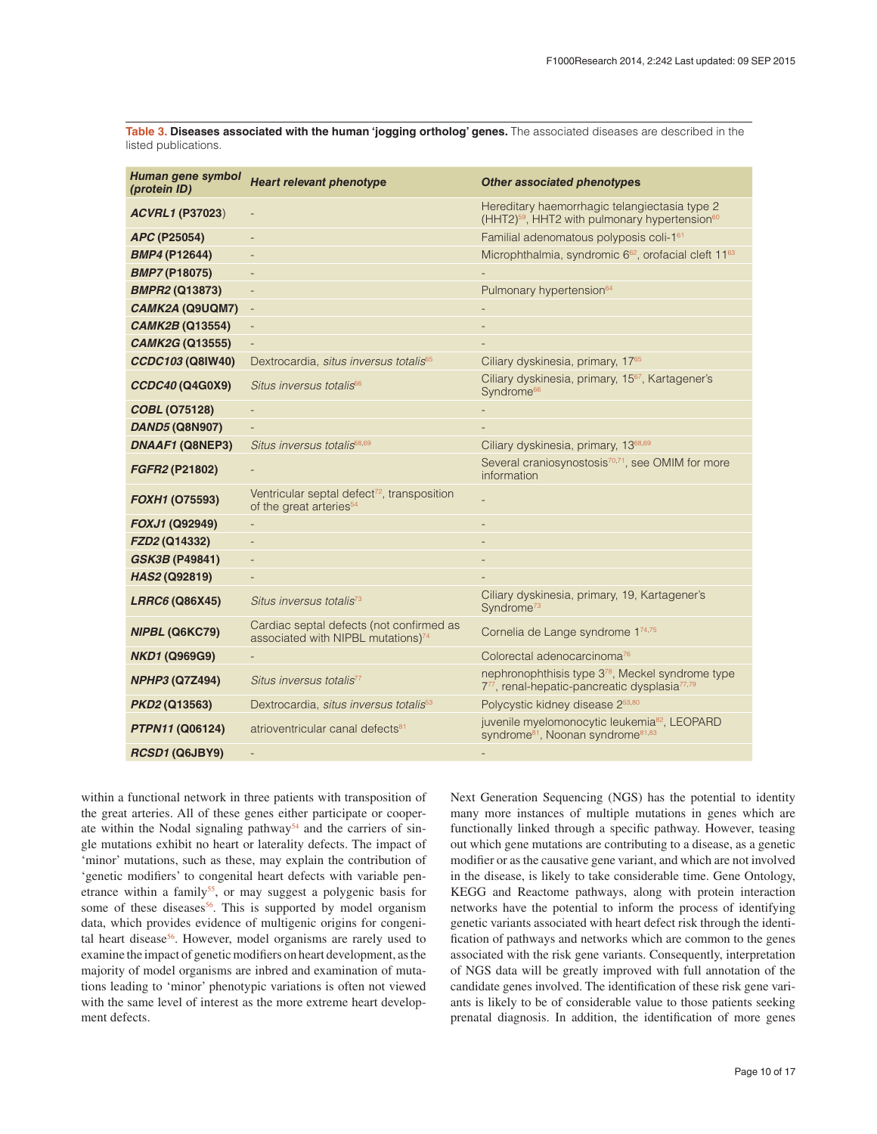<span id="page-9-0"></span>**Table 3. Diseases associated with the human 'jogging ortholog' genes.** The associated diseases are described in the listed publications.

| Human gene symbol<br>(protein ID) | <b>Heart relevant phenotype</b>                                                                | <b>Other associated phenotypes</b>                                                                                       |
|-----------------------------------|------------------------------------------------------------------------------------------------|--------------------------------------------------------------------------------------------------------------------------|
| <b>ACVRL1 (P37023)</b>            | $\qquad \qquad -$                                                                              | Hereditary haemorrhagic telangiectasia type 2<br>(HHT2) <sup>59</sup> , HHT2 with pulmonary hypertension <sup>60</sup>   |
| APC (P25054)                      | $\overline{a}$                                                                                 | Familial adenomatous polyposis coli-161                                                                                  |
| <b>BMP4 (P12644)</b>              |                                                                                                | Microphthalmia, syndromic 6 <sup>62</sup> , orofacial cleft 11 <sup>63</sup>                                             |
| <b>BMP7 (P18075)</b>              |                                                                                                |                                                                                                                          |
| <b>BMPR2 (Q13873)</b>             | $\overline{a}$                                                                                 | Pulmonary hypertension <sup>64</sup>                                                                                     |
| CAMK2A (Q9UQM7)                   | $\blacksquare$                                                                                 |                                                                                                                          |
| <b>CAMK2B (Q13554)</b>            |                                                                                                |                                                                                                                          |
| <b>CAMK2G (Q13555)</b>            | $\qquad \qquad -$                                                                              |                                                                                                                          |
| CCDC103 (Q8IW40)                  | Dextrocardia, situs inversus totalis <sup>65</sup>                                             | Ciliary dyskinesia, primary, 17 <sup>65</sup>                                                                            |
| CCDC40 (Q4G0X9)                   | Situs inversus totalis <sup>66</sup>                                                           | Ciliary dyskinesia, primary, 15 <sup>67</sup> , Kartagener's<br>Syndrome <sup>66</sup>                                   |
| <b>COBL (075128)</b>              | ÷,                                                                                             |                                                                                                                          |
| <b>DAND5 (Q8N907)</b>             | $\overline{\phantom{a}}$                                                                       |                                                                                                                          |
| DNAAF1 (Q8NEP3)                   | Situs inversus totalis <sup>68,69</sup>                                                        | Ciliary dyskinesia, primary, 13 <sup>68,69</sup>                                                                         |
| FGFR2 (P21802)                    |                                                                                                | Several craniosynostosis <sup>70,71</sup> , see OMIM for more<br>information                                             |
| <b>FOXH1 (075593)</b>             | Ventricular septal defect <sup>72</sup> , transposition<br>of the great arteries <sup>54</sup> |                                                                                                                          |
| FOXJ1 (Q92949)                    |                                                                                                |                                                                                                                          |
| FZD2 (Q14332)                     |                                                                                                |                                                                                                                          |
| <b>GSK3B (P49841)</b>             | $\qquad \qquad -$                                                                              |                                                                                                                          |
| HAS2 (Q92819)                     | $\overline{\phantom{a}}$                                                                       |                                                                                                                          |
| LRRC6 (Q86X45)                    | Situs inversus totalis <sup>73</sup>                                                           | Ciliary dyskinesia, primary, 19, Kartagener's<br>Syndrome <sup>73</sup>                                                  |
| NIPBL (Q6KC79)                    | Cardiac septal defects (not confirmed as<br>associated with NIPBL mutations) <sup>74</sup>     | Cornelia de Lange syndrome 174,75                                                                                        |
| <b>NKD1 (Q969G9)</b>              |                                                                                                | Colorectal adenocarcinoma <sup>76</sup>                                                                                  |
| <b>NPHP3 (Q7Z494)</b>             | Situs inversus totalis"                                                                        | nephronophthisis type 3 <sup>78</sup> , Meckel syndrome type<br>777, renal-hepatic-pancreatic dysplasia <sup>77,79</sup> |
| <i>PKD2</i> (Q13563)              | Dextrocardia, situs inversus totalis <sup>53</sup>                                             | Polycystic kidney disease 253,80                                                                                         |
| <b>PTPN11 (Q06124)</b>            | atrioventricular canal defects <sup>81</sup>                                                   | juvenile myelomonocytic leukemia <sup>82</sup> , LEOPARD<br>syndrome <sup>81</sup> , Noonan syndrome <sup>81,83</sup>    |
| RCSD1 (Q6JBY9)                    | $\overline{a}$                                                                                 |                                                                                                                          |

within a functional network in three patients with transposition of the great arteries. All of these genes either participate or cooperate within the Nodal signaling pathway<sup>54</sup> and the carriers of single mutations exhibit no heart or laterality defects. The impact of 'minor' mutations, such as these, may explain the contribution of 'genetic modifiers' to congenital heart defects with variable pen-etrance within a family<sup>[55](#page-11-0)</sup>, or may suggest a polygenic basis for some of these diseases<sup>56</sup>. This is supported by model organism data, which provides evidence of multigenic origins for congenital heart disease<sup>56</sup>. However, model organisms are rarely used to examine the impact of genetic modifiers on heart development, as the majority of model organisms are inbred and examination of mutations leading to 'minor' phenotypic variations is often not viewed with the same level of interest as the more extreme heart development defects.

Next Generation Sequencing (NGS) has the potential to identity many more instances of multiple mutations in genes which are functionally linked through a specific pathway. However, teasing out which gene mutations are contributing to a disease, as a genetic modifier or as the causative gene variant, and which are not involved in the disease, is likely to take considerable time. Gene Ontology, KEGG and Reactome pathways, along with protein interaction networks have the potential to inform the process of identifying genetic variants associated with heart defect risk through the identification of pathways and networks which are common to the genes associated with the risk gene variants. Consequently, interpretation of NGS data will be greatly improved with full annotation of the candidate genes involved. The identification of these risk gene variants is likely to be of considerable value to those patients seeking prenatal diagnosis. In addition, the identification of more genes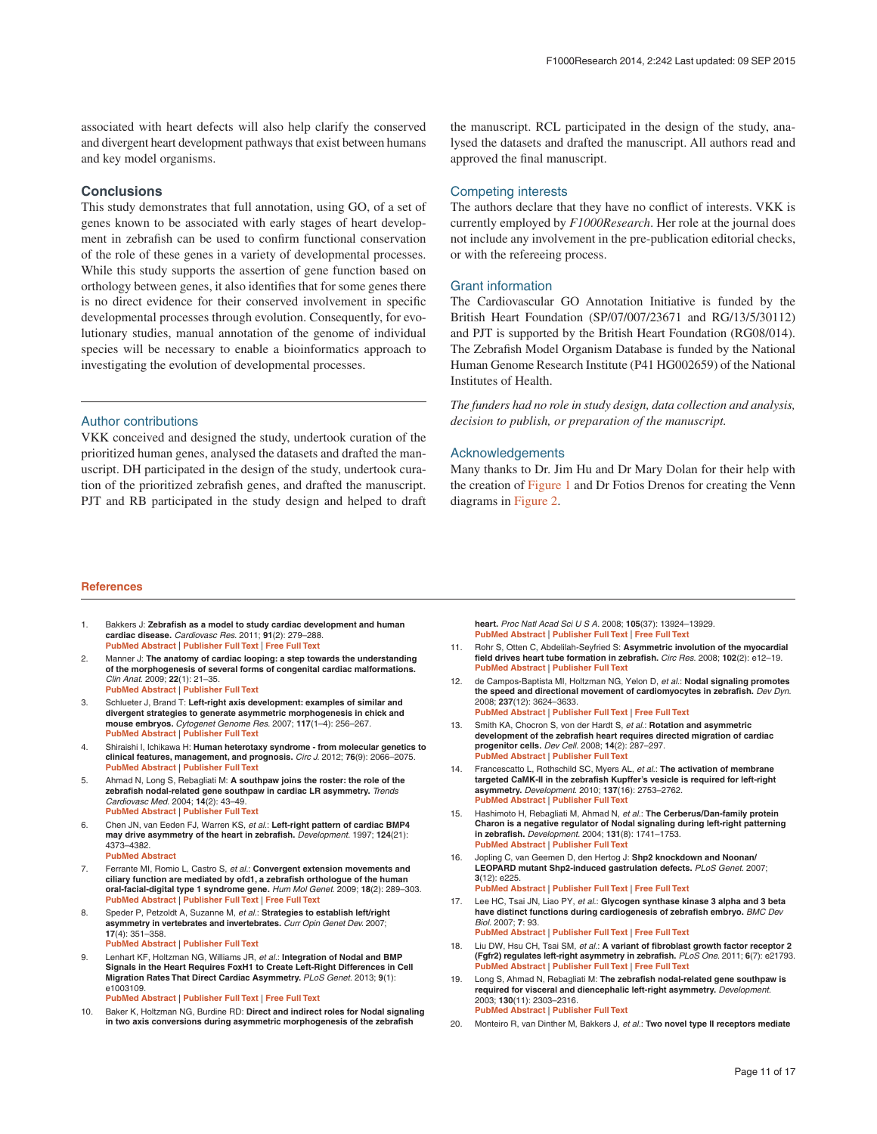<span id="page-10-0"></span>associated with heart defects will also help clarify the conserved and divergent heart development pathways that exist between humans and key model organisms.

#### **Conclusions**

This study demonstrates that full annotation, using GO, of a set of genes known to be associated with early stages of heart development in zebrafish can be used to confirm functional conservation of the role of these genes in a variety of developmental processes. While this study supports the assertion of gene function based on orthology between genes, it also identifies that for some genes there is no direct evidence for their conserved involvement in specific developmental processes through evolution. Consequently, for evolutionary studies, manual annotation of the genome of individual species will be necessary to enable a bioinformatics approach to investigating the evolution of developmental processes.

#### Author contributions

VKK conceived and designed the study, undertook curation of the prioritized human genes, analysed the datasets and drafted the manuscript. DH participated in the design of the study, undertook curation of the prioritized zebrafish genes, and drafted the manuscript. PJT and RB participated in the study design and helped to draft the manuscript. RCL participated in the design of the study, analysed the datasets and drafted the manuscript. All authors read and approved the final manuscript.

#### Competing interests

The authors declare that they have no conflict of interests. VKK is currently employed by *F1000Research*. Her role at the journal does not include any involvement in the pre-publication editorial checks, or with the refereeing process.

#### Grant information

The Cardiovascular GO Annotation Initiative is funded by the British Heart Foundation (SP/07/007/23671 and RG/13/5/30112) and PJT is supported by the British Heart Foundation (RG08/014). The Zebrafish Model Organism Database is funded by the National Human Genome Research Institute (P41 HG002659) of the National Institutes of Health.

*The funders had no role in study design, data collection and analysis, decision to publish, or preparation of the manuscript.*

#### Acknowledgements

Many thanks to Dr. Jim Hu and Dr Mary Dolan for their help with the creation of [Figure 1](#page-6-0) and Dr Fotios Drenos for creating the Venn diagrams in [Figure 2](#page-8-0).

#### **References**

- 1. Bakkers J: **Zebrafish as a model to study cardiac development and human cardiac disease.** *Cardiovasc Res.* 2011; **91**(2): 279–288. **[PubMed Abstract](http://www.ncbi.nlm.nih.gov/pubmed/21602174)** | **[Publisher Full Text](http://dx.doi.org/10.1093/cvr/cvr098)** | **[Free Full Text](http://www.ncbi.nlm.nih.gov/pmc/articles/3125074)**
- 2. Manner J: **The anatomy of cardiac looping: a step towards the understanding of the morphogenesis of several forms of congenital cardiac malformations.** *Clin Anat.* 2009; **22**(1): 21–35. **[PubMed Abstract](http://www.ncbi.nlm.nih.gov/pubmed/18661581)** | **[Publisher Full Text](http://dx.doi.org/10.1002/ca.20652)**
- Schlueter J, Brand T: Left-right axis development: examples of similar and **divergent strategies to generate asymmetric morphogenesis in chick and mouse embryos.** *Cytogenet Genome Res.* 2007; **117**(1–4): 256–267. **[PubMed Abstract](http://www.ncbi.nlm.nih.gov/pubmed/17675867)** | **[Publisher Full Text](http://dx.doi.org/10.1159/000103187)**
- 4. Shiraishi I, Ichikawa H: **Human heterotaxy syndrome from molecular genetics to clinical features, management, and prognosis.** *Circ J.* 2012; **76**(9): 2066–2075. **[PubMed Abstract](http://www.ncbi.nlm.nih.gov/pubmed/22864291)** | **[Publisher Full Text](http://dx.doi.org/10.1253/circj.CJ-12-0957)**
- 5. Ahmad N, Long S, Rebagliati M: **A southpaw joins the roster: the role of the zebrafish nodal-related gene southpaw in cardiac LR asymmetry.** *Trends Cardiovasc Med.* 2004; **14**(2): 43–49. **[PubMed Abstract](http://www.ncbi.nlm.nih.gov/pubmed/15030788)** | **[Publisher Full Text](http://dx.doi.org/10.1016/j.tcm.2003.11.001)**
- 6. Chen JN, van Eeden FJ, Warren KS, *et al.*: **Left-right pattern of cardiac BMP4 may drive asymmetry of the heart in zebrafish.** *Development.* 1997; **124**(21): 4373–4382. **[PubMed Abstract](http://www.ncbi.nlm.nih.gov/pubmed/9334285)** 
	-
- Ferrante MI, Romio L, Castro S, et al.: **Convergent extension movements and ciliary function are mediated by ofd1, a zebrafish orthologue of the human oral-facial-digital type 1 syndrome gene.** *Hum Mol Genet.* 2009; **18**(2): 289–303. **[PubMed Abstract](http://www.ncbi.nlm.nih.gov/pubmed/18971206)** | **[Publisher Full Text](http://dx.doi.org/10.1093/hmg/ddn356)** | **[Free Full Text](http://www.ncbi.nlm.nih.gov/pmc/articles/2638777)**
- 8. Speder P, Petzoldt A, Suzanne M, *et al.*: **Strategies to establish left/right asymmetry in vertebrates and invertebrates.** *Curr Opin Genet Dev.* 2007; **17**(4): 351–358.
- **[PubMed Abstract](http://www.ncbi.nlm.nih.gov/pubmed/17643981)** | **[Publisher Full Text](http://dx.doi.org/10.1016/j.gde.2007.05.008)**
- 9. Lenhart KF, Holtzman NG, Williams JR, *et al.*: **Integration of Nodal and BMP Signals in the Heart Requires FoxH1 to Create Left-Right Differences in Cell Migration Rates That Direct Cardiac Asymmetry.** *PLoS Genet.* 2013; **9**(1): e1003109.

**[PubMed Abstract](http://www.ncbi.nlm.nih.gov/pubmed/23358434)** | **[Publisher Full Text](http://dx.doi.org/10.1371/journal.pgen.1003109)** | **[Free Full Text](http://www.ncbi.nlm.nih.gov/pmc/articles/3554567)** 

10. Baker K, Holtzman NG, Burdine RD: **Direct and indirect roles for Nodal signaling in two axis conversions during asymmetric morphogenesis of the zebrafish** 

**heart.** *Proc Natl Acad Sci U S A.* 2008; **105**(37): 13924–13929. **[PubMed Abstract](http://www.ncbi.nlm.nih.gov/pubmed/18784369)** | **[Publisher Full Text](http://dx.doi.org/10.1073/pnas.0802159105)** | **[Free Full Text](http://www.ncbi.nlm.nih.gov/pmc/articles/2544555)** 

- 11. Rohr S, Otten C, Abdelilah-Seyfried S: **Asymmetric involution of the myocardial field drives heart tube formation in zebrafish.** *Circ Res.* 2008; **102**(2): e12–19. **[PubMed Abstract](http://www.ncbi.nlm.nih.gov/pubmed/18202314)** | **[Publisher Full Text](http://dx.doi.org/10.1161/CIRCRESAHA.107.165241)**
- 12. de Campos-Baptista MI, Holtzman NG, Yelon D, *et al.*: **Nodal signaling promotes the speed and directional movement of cardiomyocytes in zebrafish.** *Dev Dyn.* 2008; **237**(12): 3624–3633. **[PubMed Abstract](http://www.ncbi.nlm.nih.gov/pubmed/18985714)** | **[Publisher Full Text](http://dx.doi.org/10.1002/dvdy.21777)** | **[Free Full Text](http://www.ncbi.nlm.nih.gov/pmc/articles/2632806)**
- 13. Smith KA, Chocron S, von der Hardt S, *et al.*: **Rotation and asymmetric development of the zebrafish heart requires directed migration of cardiac progenitor cells.** *Dev Cell.* 2008; **14**(2): 287–297. **[PubMed Abstract](http://www.ncbi.nlm.nih.gov/pubmed/18267096)** | **[Publisher Full Text](http://dx.doi.org/10.1016/j.devcel.2007.11.015)**
- 14. Francescatto L, Rothschild SC, Myers AL, *et al.*: **The activation of membrane targeted CaMK-II in the zebrafish Kupffer's vesicle is required for left-right asymmetry.** *Development.* 2010; **137**(16): 2753–2762. **[PubMed Abstract](http://www.ncbi.nlm.nih.gov/pubmed/20630945)** | **[Publisher Full Text](http://dx.doi.org/10.1242/dev.049627)**
- 15. Hashimoto H, Rebagliati M, Ahmad N, *et al.*: **The Cerberus/Dan-family protein Charon is a negative regulator of Nodal signaling during left-right patterning in zebrafish.** *Development.* 2004; **131**(8): 1741–1753. **[PubMed Abstract](http://www.ncbi.nlm.nih.gov/pubmed/15084459)** | **[Publisher Full Text](http://dx.doi.org/10.1242/dev.01070)**
- 16. Jopling C, van Geemen D, den Hertog J: **Shp2 knockdown and Noonan/ LEOPARD mutant Shp2-induced gastrulation defects.** *PLoS Genet.* 2007; **3**(12): e225. **[PubMed Abstract](http://www.ncbi.nlm.nih.gov/pubmed/18159945)** | **[Publisher Full Text](http://dx.doi.org/10.1371/journal.pgen.0030225)** | **[Free Full Text](http://www.ncbi.nlm.nih.gov/pmc/articles/2151089)**
- 17. Lee HC, Tsai JN, Liao PY, *et al.*: **Glycogen synthase kinase 3 alpha and 3 beta have distinct functions during cardiogenesis of zebrafish embryo.** *BMC Dev Biol.* 2007; **7**: 93. **[PubMed Abstract](http://www.ncbi.nlm.nih.gov/pubmed/17683539)** | **[Publisher Full Text](http://dx.doi.org/10.1186/1471-213X-7-93)** | **[Free Full Text](http://www.ncbi.nlm.nih.gov/pmc/articles/1988812)**
- 18. Liu DW, Hsu CH, Tsai SM, *et al.*: **A variant of fibroblast growth factor receptor 2 (Fgfr2) regulates left-right asymmetry in zebrafish.** *PLoS One.* 2011; **6**(7): e21793. **[PubMed Abstract](http://www.ncbi.nlm.nih.gov/pubmed/21747958)** | **[Publisher Full Text](http://dx.doi.org/10.1371/journal.pone.0021793)** | **[Free Full Text](http://www.ncbi.nlm.nih.gov/pmc/articles/3128613)**
- 19. Long S, Ahmad N, Rebagliati M: **The zebrafish nodal-related gene southpaw is required for visceral and diencephalic left-right asymmetry.** *Development.* 2003; **130**(11): 2303–2316. **[PubMed Abstract](http://www.ncbi.nlm.nih.gov/pubmed/12702646)** | **[Publisher Full Text](http://dx.doi.org/10.1242/dev.00436)**
- 20. Monteiro R, van Dinther M, Bakkers J, *et al.*: **Two novel type II receptors mediate**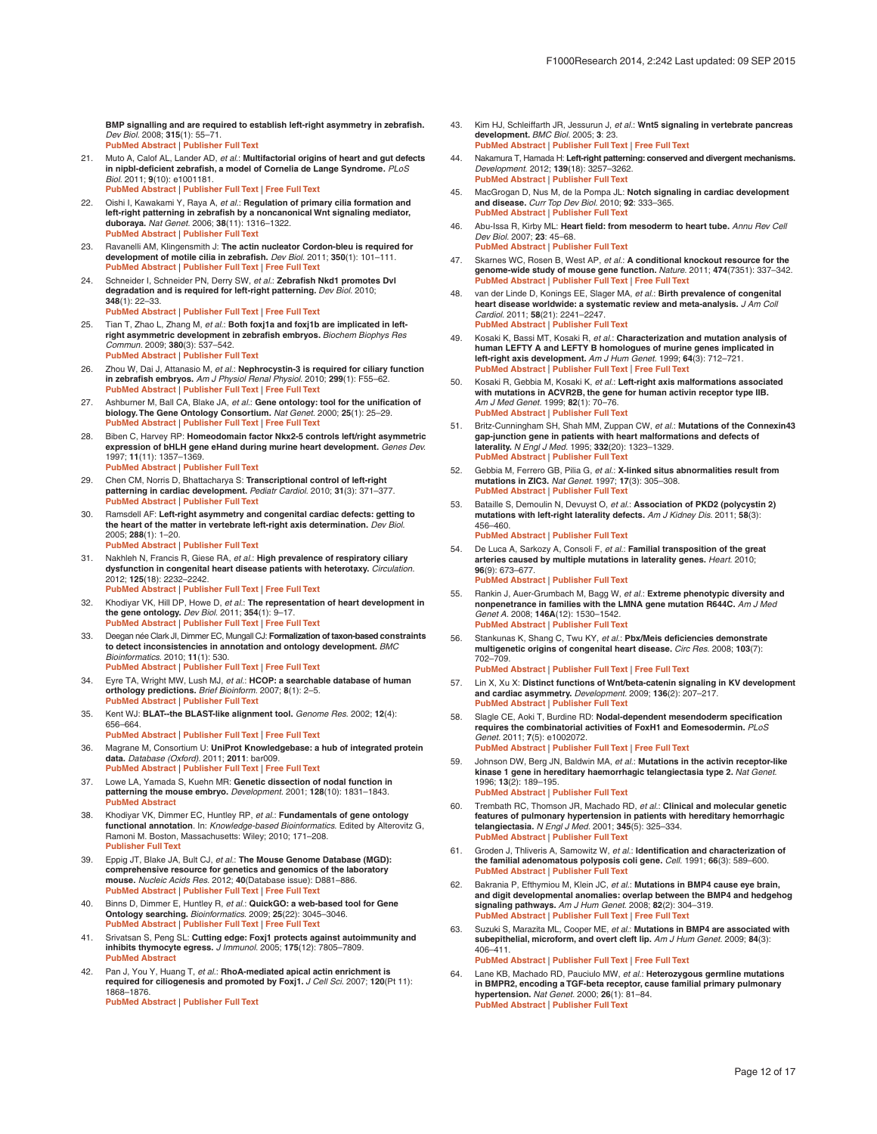<span id="page-11-0"></span>**BMP signalling and are required to establish left-right asymmetry in zebrafish.** *Dev Biol.* 2008; **315**(1): 55–71. **[PubMed Abstract](http://www.ncbi.nlm.nih.gov/pubmed/18222420)** | **[Publisher Full Text](http://dx.doi.org/10.1016/j.ydbio.2007.11.038)** 

- 21. Muto A, Calof AL, Lander AD, *et al.*: **Multifactorial origins of heart and gut defects in nipbl-deficient zebrafish, a model of Cornelia de Lange Syndrome.** *PLoS Biol.* 2011; **9**(10): e1001181. **[PubMed Abstract](http://www.ncbi.nlm.nih.gov/pubmed/22039349)** | **[Publisher Full Text](http://dx.doi.org/10.1371/journal.pbio.1001181)** | **[Free Full Text](http://www.ncbi.nlm.nih.gov/pmc/articles/3201921)**
- 22. Oishi I, Kawakami Y, Raya A, *et al.*: **Regulation of primary cilia formation and left-right patterning in zebrafish by a noncanonical Wnt signaling mediator,<br><b>differight patterning in zebrafish by a** noncanonical Wnt **[PubMed Abstract](http://www.ncbi.nlm.nih.gov/pubmed/17013396)** | **[Publisher Full Text](http://dx.doi.org/10.1038/ng1892)**
- 23. Ravanelli AM, Klingensmith J: **The actin nucleator Cordon-bleu is required for development of motile cilia in zebrafish.** *Dev Biol.* 2011; **350**(1): 101–111. **[PubMed Abstract](http://www.ncbi.nlm.nih.gov/pubmed/21129373)** | **[Publisher Full Text](http://dx.doi.org/10.1016/j.ydbio.2010.11.023)** | **[Free Full Text](http://www.ncbi.nlm.nih.gov/pmc/articles/3022090)**
- 24. Schneider I, Schneider PN, Derry SW, *et al.*: **Zebrafish Nkd1 promotes Dvl degradation and is required for left-right patterning.** *Dev Biol.* 2010; **348**(1): 22–33. **[PubMed Abstract](http://www.ncbi.nlm.nih.gov/pubmed/20858476)** | **[Publisher Full Text](http://dx.doi.org/10.1016/j.ydbio.2010.08.040)** | **[Free Full Text](http://www.ncbi.nlm.nih.gov/pmc/articles/2976797)**
- 25. Tian T, Zhao L, Zhang M, *et al.*: **Both foxj1a and foxj1b are implicated in leftright asymmetric development in zebrafish embryos.** *Biochem Biophys Res Commun.* 2009; **380**(3): 537–542. **[PubMed Abstract](http://www.ncbi.nlm.nih.gov/pubmed/19284996)** | **[Publisher Full Text](http://dx.doi.org/10.1016/j.bbrc.2009.01.111)**
- 26. Zhou W, Dai J, Attanasio M, *et al.*: **Nephrocystin-3 is required for ciliary function in zebrafish embryos.** *Am J Physiol Renal Physiol.* 2010; **299**(1): F55–62. **[PubMed Abstract](http://www.ncbi.nlm.nih.gov/pubmed/20462968)** | **[Publisher Full Text](http://dx.doi.org/10.1152/ajprenal.00043.2010)** | **[Free Full Text](http://www.ncbi.nlm.nih.gov/pmc/articles/2904175)**
- 27. Ashburner M, Ball CA, Blake JA, *et al.*: **Gene ontology: tool for the unification of biology. The Gene Ontology Consortium.** *Nat Genet.* 2000; **25**(1): 25–29. **[PubMed Abstract](http://www.ncbi.nlm.nih.gov/pubmed/10802651)** | **[Publisher Full Text](http://dx.doi.org/10.1038/75556)** | **[Free Full Text](http://www.ncbi.nlm.nih.gov/pmc/articles/3037419)**
- 28. Biben C, Harvey RP: **Homeodomain factor Nkx2-5 controls left/right asymmetric expression of bHLH gene eHand during murine heart development.** *Genes Dev.* 1997; **11**(11): 1357–1369. **[PubMed Abstract](http://www.ncbi.nlm.nih.gov/pubmed/9192865)** | **[Publisher Full Text](http://dx.doi.org/10.1101/gad.11.11.1357)**
- 29. Chen CM, Norris D, Bhattacharya S: **Transcriptional control of left-right patterning in cardiac development.** *Pediatr Cardiol.* 2010; **31**(3): 371–377. **[PubMed Abstract](http://www.ncbi.nlm.nih.gov/pubmed/20054532)** | **[Publisher Full Text](http://dx.doi.org/10.1007/s00246-009-9610-3)**
- 30. Ramsdell AF: **Left-right asymmetry and congenital cardiac defects: getting to the heart of the matter in vertebrate left-right axis determination.** *Dev Biol.* 2005; **288**(1): 1–20. **[PubMed Abstract](http://www.ncbi.nlm.nih.gov/pubmed/16289136)** | **[Publisher Full Text](http://dx.doi.org/10.1016/j.ydbio.2005.07.038)**
- 31. Nakhleh N, Francis R, Giese RA, *et al.*: **High prevalence of respiratory ciliary dysfunction in congenital heart disease patients with heterotaxy.** *Circulation.* 2012; **125**(18): 2232–2242. **[PubMed Abstract](http://www.ncbi.nlm.nih.gov/pubmed/22499950)** | **[Publisher Full Text](http://dx.doi.org/10.1161/CIRCULATIONAHA.111.079780)** | **[Free Full Text](http://www.ncbi.nlm.nih.gov/pmc/articles/3770728)**
- 32. Khodiyar VK, Hill DP, Howe D, *et al.*: **The representation of heart development in the gene ontology.** *Dev Biol.* 2011; **354**(1): 9–17. **[PubMed Abstract](http://www.ncbi.nlm.nih.gov/pubmed/21419760)** | **[Publisher Full Text](http://dx.doi.org/10.1016/j.ydbio.2011.03.011)** | **[Free Full Text](http://www.ncbi.nlm.nih.gov/pmc/articles/3302178)**
- 33. Deegan née Clark JI, Dimmer EC, Mungall CJ: **Formalization of taxon-based constraints to detect inconsistencies in annotation and ontology development.** *BMC Bioinformatics.* 2010; **11**(1): 530. **[PubMed Abstract](http://www.ncbi.nlm.nih.gov/pubmed/20973947)** | **[Publisher Full Text](http://dx.doi.org/10.1186/1471-2105-11-530)** | **[Free Full Text](http://www.ncbi.nlm.nih.gov/pmc/articles/3098089)**
- 34. Eyre TA, Wright MW, Lush MJ, *et al.*: **HCOP: a searchable database of human orthology predictions.** *Brief Bioinform.* 2007; **8**(1): 2–5. **[PubMed Abstract](http://www.ncbi.nlm.nih.gov/pubmed/16951416)** | **[Publisher Full Text](http://dx.doi.org/10.1093/bib/bbl030)**
- 35. Kent WJ: **BLAT--the BLAST-like alignment tool.** *Genome Res.* 2002; **12**(4): 656–664. **[PubMed Abstract](http://www.ncbi.nlm.nih.gov/pubmed/11932250)** | **[Publisher Full Text](http://dx.doi.org/10.1101/gr.229202)** | **[Free Full Text](http://www.ncbi.nlm.nih.gov/pmc/articles/187518)**
- 36. Magrane M, Consortium U: **UniProt Knowledgebase: a hub of integrated protein data.** *Database (Oxford).* 2011; **2011**: bar009.
- **[PubMed Abstract](http://www.ncbi.nlm.nih.gov/pubmed/21447597)** | **[Publisher Full Text](http://dx.doi.org/10.1093/database/bar009)** | **[Free Full Text](http://www.ncbi.nlm.nih.gov/pmc/articles/3070428)**  37. Lowe LA, Yamada S, Kuehn MR: **Genetic dissection of nodal function in patterning the mouse embryo.** *Development.* 2001; **128**(10): 1831–1843.
- **[PubMed Abstract](http://www.ncbi.nlm.nih.gov/pubmed/11311163)**  38. Khodiyar VK, Dimmer EC, Huntley RP, *et al.*: **Fundamentals of gene ontology functional annotation**. In: *Knowledge-based Bioinformatics*. Edited by Alterovitz G, Ramoni M. Boston, Massachusetts: Wiley; 2010; 171–208. **[Publisher Full Text](http://dx.doi.org/10.1002/9780470669716.ch8)**
- 39. Eppig JT, Blake JA, Bult CJ, *et al.*: **The Mouse Genome Database (MGD): comprehensive resource for genetics and genomics of the laboratory mouse.** *Nucleic Acids Res.* 2012; **40**(Database issue): D881–886. **[PubMed Abstract](http://www.ncbi.nlm.nih.gov/pubmed/22075990)** | **[Publisher Full Text](http://dx.doi.org/10.1093/nar/gkr974)** | **[Free Full Text](http://www.ncbi.nlm.nih.gov/pmc/articles/3245042)**
- 40. Binns D, Dimmer E, Huntley R, *et al.*: **QuickGO: a web-based tool for Gene Ontology searching.** *Bioinformatics.* 2009; **25**(22): 3045–3046. **[PubMed Abstract](http://www.ncbi.nlm.nih.gov/pubmed/19744993)** | **[Publisher Full Text](http://dx.doi.org/10.1093/bioinformatics/btp536)** | **[Free Full Text](http://www.ncbi.nlm.nih.gov/pmc/articles/2773257)**
- 41. Srivatsan S, Peng SL: **Cutting edge: Foxj1 protects against autoimmunity and inhibits thymocyte egress.** *J Immunol.* 2005; **175**(12): 7805–7809. **P[ubMed Abstract](http://www.ncbi.nlm.nih.gov/pubmed/16339515)**
- 42. Pan J, You Y, Huang T, *et al.*: **RhoA-mediated apical actin enrichment is required for ciliogenesis and promoted by Foxj1.** *J Cell Sci.* 2007; **120**(Pt 11): 1868–1876. **[PubMed Abstract](http://www.ncbi.nlm.nih.gov/pubmed/17488776)** | **[Publisher Full Text](http://dx.doi.org/10.1242/jcs.005306)**
- 43. Kim HJ, Schleiffarth JR, Jessurun J, *et al.*: **Wnt5 signaling in vertebrate pancreas development.** *BMC Biol.* 2005; **3**: 23. **[PubMed Abstract](http://www.ncbi.nlm.nih.gov/pubmed/16246260)** | **[Publisher Full Text](http://dx.doi.org/10.1186/1741-7007-3-23)** | **[Free Full Text](http://www.ncbi.nlm.nih.gov/pmc/articles/1276788)**
- 44. Nakamura T, Hamada H: **Left-right patterning: conserved and divergent mechanisms.** *Development.* 2012; **139**(18): 3257–3262. **[PubMed Abstract](http://www.ncbi.nlm.nih.gov/pubmed/22912409)** | **[Publisher Full Text](http://dx.doi.org/10.1242/dev.061606)**
- 45. MacGrogan D, Nus M, de la Pompa JL: **Notch signaling in cardiac development and disease.** *Curr Top Dev Biol.* 2010; **92**: 333–365. **[PubMed Abstract](http://www.ncbi.nlm.nih.gov/pubmed/20816401)** | **[Publisher Full Text](http://dx.doi.org/10.1016/S0070-2153(10)92011-5)**
- 46. Abu-Issa R, Kirby ML: **Heart field: from mesoderm to heart tube.** *Annu Rev Cell Dev Biol.* 2007; **23**: 45–68. **[PubMed Abstract](http://www.ncbi.nlm.nih.gov/pubmed/17456019)** | **[Publisher Full Text](http://dx.doi.org/10.1146/annurev.cellbio.23.090506.123331)**
- 47. Skarnes WC, Rosen B, West AP, *et al.*: **A conditional knockout resource for the genome-wide study of mouse gene function.** *Nature.* 2011; **474**(7351): 337–342. **[PubMed Abstract](http://www.ncbi.nlm.nih.gov/pubmed/21677750)** | **[Publisher Full Text](http://dx.doi.org/10.1038/nature10163)** | **[Free Full Text](http://www.ncbi.nlm.nih.gov/pmc/articles/3572410)**
- 48. van der Linde D, Konings EE, Slager MA, *et al.*: **Birth prevalence of congenital heart disease worldwide: a systematic review and meta-analysis.** *J Am Coll Cardiol.* 2011; **58**(21): 2241–2247. **[PubMed Abstract](http://www.ncbi.nlm.nih.gov/pubmed/22078432)** | **[Publisher Full Text](http://dx.doi.org/10.1016/j.jacc.2011.08.025)**
- 49. Kosaki K, Bassi MT, Kosaki R, *et al.*: **Characterization and mutation analysis of human LEFTY A and LEFTY B homologues of murine genes implicated in left-right axis development.** *Am J Hum Genet.* 1999; **64**(3): 712–721. **[PubMed Abstract](http://www.ncbi.nlm.nih.gov/pubmed/10053005)** | **[Publisher Full Text](http://dx.doi.org/10.1086/302289)** | **[Free Full Text](http://www.ncbi.nlm.nih.gov/pmc/articles/1377788)**
- 50. Kosaki R, Gebbia M, Kosaki K, *et al.*: **Left-right axis malformations associated with mutations in ACVR2B, the gene for human activin receptor type IIB.** *Am J Med Genet.* 1999; **82**(1): 70–76. **[PubMed Abstract](http://www.ncbi.nlm.nih.gov/pubmed/9916847)** | **[Publisher Full Text](http://dx.doi.org/10.1002/%28SICI%291096-8628(19990101)82:1<70::AID-AJMG14>3.0.CO;2-Y)**
- 51. Britz-Cunningham SH, Shah MM, Zuppan CW, *et al.*: **Mutations of the Connexin43 gap-junction gene in patients with heart malformations and defects of laterality.** *N Engl J Med.* 1995; **332**(20): 1323–1329. **[PubMed Abstract](http://www.ncbi.nlm.nih.gov/pubmed/7715640)** | **[Publisher Full Text](http://dx.doi.org/10.1056/NEJM199505183322002)**
- 52. Gebbia M, Ferrero GB, Pilia G, *et al.*: **X-linked situs abnormalities result from mutations in ZIC3.** *Nat Genet.* 1997; **17**(3): 305–308. **[PubMed Abstract](http://www.ncbi.nlm.nih.gov/pubmed/9354794)** | **[Publisher Full Text](http://dx.doi.org/10.1038/ng1197-305)**
- 53. Bataille S, Demoulin N, Devuyst O, *et al.*: **Association of PKD2 (polycystin 2) mutations with left-right laterality defects.** *Am J Kidney Dis.* 2011; **58**(3): 456–460. **[PubMed Abstract](http://www.ncbi.nlm.nih.gov/pubmed/21719175)** | **[Publisher Full Text](http://dx.doi.org/10.1053/j.ajkd.2011.05.015)**
- 54. De Luca A, Sarkozy A, Consoli F, *et al.*: **Familial transposition of the great arteries caused by multiple mutations in laterality genes.** *Heart.* 2010; **96**(9): 673–677. **[PubMed Abstract](http://www.ncbi.nlm.nih.gov/pubmed/19933292)** | **[Publisher Full Text](http://dx.doi.org/10.1136/hrt.2009.181685)**
- 55. Rankin J, Auer-Grumbach M, Bagg W, *et al.*: **Extreme phenotypic diversity and nonpenetrance in families with the LMNA gene mutation R644C.** *Am J Med Genet A.* 2008; **146A**(12): 1530–1542. **[PubMed Abstract](http://www.ncbi.nlm.nih.gov/pubmed/18478590)** | **[Publisher Full Text](http://dx.doi.org/10.1002/ajmg.a.32331)**
- 56. Stankunas K, Shang C, Twu KY, *et al.*: **Pbx/Meis deficiencies demonstrate multigenetic origins of congenital heart disease.** *Circ Res.* 2008; **103**(7): 702–709. **[PubMed Abstract](http://www.ncbi.nlm.nih.gov/pubmed/18723445)** | **[Publisher Full Text](http://dx.doi.org/10.1161/CIRCRESAHA.108.175489)** | **[Free Full Text](http://www.ncbi.nlm.nih.gov/pmc/articles/2633052)**

- 57. Lin X, Xu X: **Distinct functions of Wnt/beta-catenin signaling in KV development and cardiac asymmetry.** *Development.* 2009; **136**(2): 207–217. **[PubMed Abstract](http://www.ncbi.nlm.nih.gov/pubmed/19103803)** | **[Publisher Full Text](http://dx.doi.org/10.1242/dev.029561)**
- 58. Slagle CE, Aoki T, Burdine RD: **Nodal-dependent mesendoderm specification requires the combinatorial activities of FoxH1 and Eomesodermin.** *PLoS Genet.* 2011; **7**(5): e1002072. **[PubMed Abstract](http://www.ncbi.nlm.nih.gov/pubmed/21637786)** | **[Publisher Full Text](http://dx.doi.org/10.1371/journal.pgen.1002072)** | **[Free Full Text](http://www.ncbi.nlm.nih.gov/pmc/articles/3102743)**
- 59. Johnson DW, Berg JN, Baldwin MA, *et al.*: **Mutations in the activin receptor-like kinase 1 gene in hereditary haemorrhagic telangiectasia type 2.** *Nat Genet.* 1996; **13**(2): 189–195. **[PubMed Abstract](http://www.ncbi.nlm.nih.gov/pubmed/8640225)** | **[Publisher Full Text](http://dx.doi.org/10.1038/ng0696-189)**
- 60. Trembath RC, Thomson JR, Machado RD, *et al.*: **Clinical and molecular genetic features of pulmonary hypertension in patients with hereditary hemorrhagic telangiectasia.** *N Engl J Med.* 2001; **345**(5): 325–334. **[PubMed Abstract](http://www.ncbi.nlm.nih.gov/pubmed/11484689)** | **[Publisher Full Text](http://dx.doi.org/10.1056/NEJM200108023450503)**
- Groden J, Thliveris A, Samowitz W, et al.: **Identification and characterization of the familial adenomatous polyposis coli gene.** *Cell.* 1991; **66**(3): 589–600. **[PubMed Abstract](http://www.ncbi.nlm.nih.gov/pubmed/1651174)** | **[Publisher Full Text](http://dx.doi.org/10.1016/0092-8674(81)90021-0)**
- 62. Bakrania P, Efthymiou M, Klein JC, *et al.*: **Mutations in BMP4 cause eye brain, and digit developmental anomalies: overlap between the BMP4 and hedgehog signaling pathways.** *Am J Hum Genet.* 2008; **82**(2): 304–319. **[PubMed Abstract](http://www.ncbi.nlm.nih.gov/pubmed/18252212)** | **[Publisher Full Text](http://dx.doi.org/10.1016/j.ajhg.2007.09.023)** | **[Free Full Text](http://www.ncbi.nlm.nih.gov/pmc/articles/2427285)**
- 63. Suzuki S, Marazita ML, Cooper ME, *et al.*: **Mutations in BMP4 are associated with subepithelial, microform, and overt cleft lip.** *Am J Hum Genet.* 2009; **84**(3):  $406 - 411$ . **[PubMed Abstract](http://www.ncbi.nlm.nih.gov/pubmed/19249007)** | **[Publisher Full Text](http://dx.doi.org/10.1016/j.ajhg.2009.02.002)** | **[Free Full Text](http://www.ncbi.nlm.nih.gov/pmc/articles/2667991)**
- 64. Lane KB, Machado RD, Pauciulo MW, *et al.*: **Heterozygous germline mutations in BMPR2, encoding a TGF-beta receptor, cause familial primary pulmonary hypertension.** *Nat Genet.* 2000; **26**(1): 81–84. **[PubMed Abstract](http://www.ncbi.nlm.nih.gov/pubmed/10973254)** | **[Publisher Full Text](http://dx.doi.org/10.1038/79226+J2)**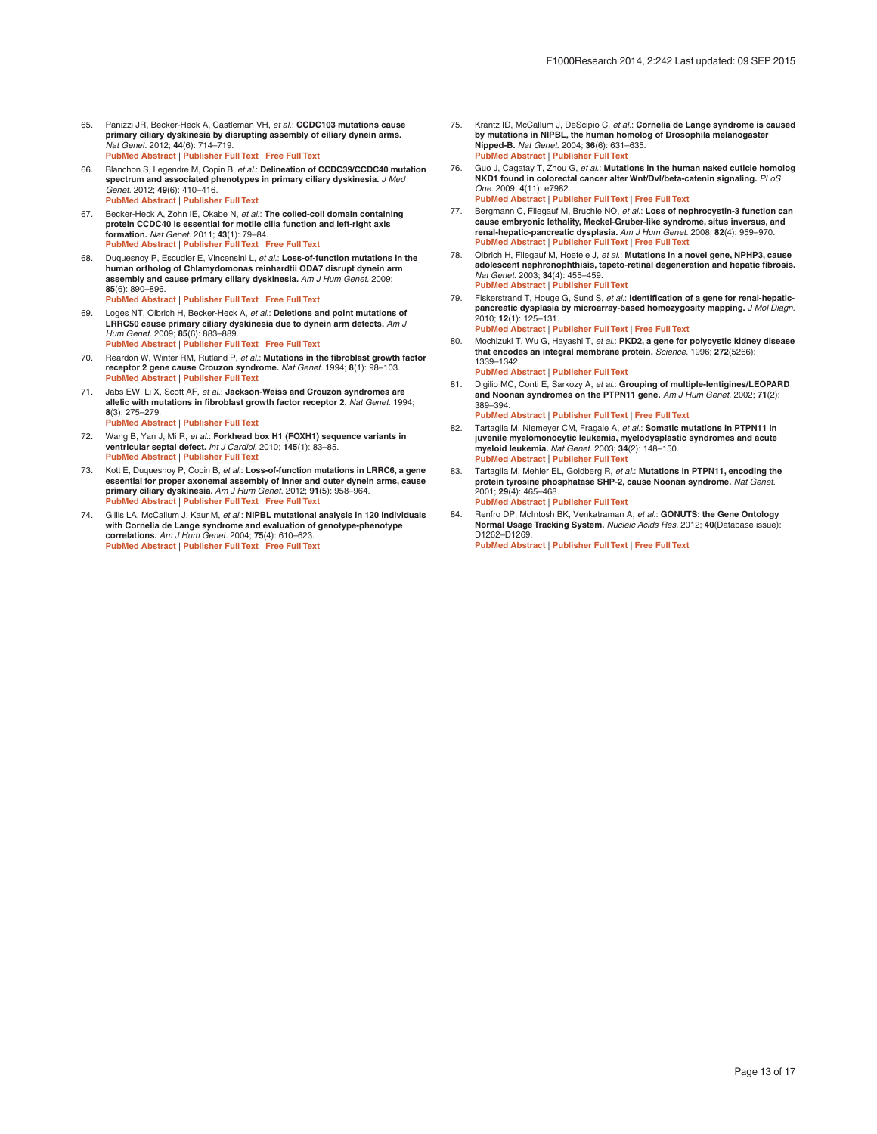- <span id="page-12-0"></span>65. Panizzi JR, Becker-Heck A, Castleman VH, *et al.*: **CCDC103 mutations cause primary ciliary dyskinesia by disrupting assembly of ciliary dynein arms.** *Nat Genet.* 2012; **44**(6): 714–719. **[PubMed Abstract](http://www.ncbi.nlm.nih.gov/pubmed/22581229)** | **[Publisher Full Text](http://dx.doi.org/10.1038/ng.2277)** | **[Free Full Text](http://www.ncbi.nlm.nih.gov/pmc/articles/3371652)**
- 66. Blanchon S, Legendre M, Copin B, *et al.*: **Delineation of CCDC39/CCDC40 mutation spectrum and associated phenotypes in primary ciliary dyskinesia.** *J Med Genet.* 2012; **49**(6): 410–416. **[PubMed Abstract](http://www.ncbi.nlm.nih.gov/pubmed/22693285)** | **[Publisher Full Text](http://dx.doi.org/10.1136/jmedgenet-2012-100867)**
- 67. Becker-Heck A, Zohn IE, Okabe N, *et al.*: **The coiled-coil domain containing protein CCDC40 is essential for motile cilia function and left-right axis formation.** *Nat Genet.* 2011; **43**(1): 79–84. **[PubMed Abstract](http://www.ncbi.nlm.nih.gov/pubmed/21131974)** | **[Publisher Full Text](http://dx.doi.org/10.1038/ng.727)** | **[Free Full Text](http://www.ncbi.nlm.nih.gov/pmc/articles/3132183)**
- 68. Duquesnoy P, Escudier E, Vincensini L, *et al.*: **Loss-of-function mutations in the human ortholog of Chlamydomonas reinhardtii ODA7 disrupt dynein arm assembly and cause primary ciliary dyskinesia.** *Am J Hum Genet.* 2009; **85**(6): 890–896. **[PubMed Abstract](http://www.ncbi.nlm.nih.gov/pubmed/19944405)** | **[Publisher Full Text](http://dx.doi.org/10.1016/j.ajhg.2009.11.008)** | **[Free Full Text](http://www.ncbi.nlm.nih.gov/pmc/articles/2790569)**
- Loges NT, Olbrich H, Becker-Heck A, et al.: Deletions and point mutations of **LRRC50 cause primary ciliary dyskinesia due to dynein arm defects.** *Am J Hum Genet.* 2009; **85**(6): 883–889. **[PubMed Abstract](http://www.ncbi.nlm.nih.gov/pubmed/19944400)** | **[Publisher Full Text](http://dx.doi.org/10.1016/j.ajhg.2009.10.018)** | **[Free Full Text](http://www.ncbi.nlm.nih.gov/pmc/articles/2795801)**
- 70. Reardon W, Winter RM, Rutland P, *et al.*: **Mutations in the fibroblast growth factor receptor 2 gene cause Crouzon syndrome.** *Nat Genet.* 1994; **8**(1): 98–103. **Publisher Full Text**
- 71. Jabs EW, Li X, Scott AF, *et al.*: **Jackson-Weiss and Crouzon syndromes are allelic with mutations in fibroblast growth factor receptor 2.** *Nat Genet.* 1994; **8**(3): 275–279. **[PubMed Abstract](http://www.ncbi.nlm.nih.gov/pubmed/7874170)** | **[Publisher Full Text](http://dx.doi.org/10.1038/ng1194-275)**
- 72. Wang B, Yan J, Mi R, *et al.*: **Forkhead box H1 (FOXH1) sequence variants in ventricular septal defect.** *Int J Cardiol.* 2010; **145**(1): 83–85. **[PubMed Abstract](http://www.ncbi.nlm.nih.gov/pubmed/19525021)** | **[Publisher Full Text](http://dx.doi.org/10.1016/j.ijcard.2009.05.030)**
- 73. Kott E, Duquesnoy P, Copin B, *et al.*: **Loss-of-function mutations in LRRC6, a gene essential for proper axonemal assembly of inner and outer dynein arms, cause primary ciliary dyskinesia.** *Am J Hum Genet.* 2012; **91**(5): 958–964. **[PubMed Abstract](http://www.ncbi.nlm.nih.gov/pubmed/23122589)** | **[Publisher Full Text](http://dx.doi.org/10.1016/j.ajhg.2012.10.003)** | **[Free Full Text](http://www.ncbi.nlm.nih.gov/pmc/articles/3487148)**
- 74. Gillis LA, McCallum J, Kaur M, *et al.*: **NIPBL mutational analysis in 120 individuals with Cornelia de Lange syndrome and evaluation of genotype-phenotype correlations.** *Am J Hum Genet.* 2004; **75**(4): 610–623. **[PubMed Abstract](http://www.ncbi.nlm.nih.gov/pubmed/15318302)** | **[Publisher Full Text](http://dx.doi.org/10.1086/424698)** | **[Free Full Text](http://www.ncbi.nlm.nih.gov/pmc/articles/1182048)**
- 75. Krantz ID, McCallum J, DeScipio C, *et al.*: **Cornelia de Lange syndrome is caused by mutations in NIPBL, the human homolog of Drosophila melanogaster Nipped-B.** *Nat Genet.* 2004; **36**(6): 631–635. **[PubMed Abstract](http://www.ncbi.nlm.nih.gov/pubmed/15146186)** | **[Publisher Full Text](http://dx.doi.org/10.1038/ng1364)**
- 76. Guo J, Cagatay T, Zhou G, *et al.*: **Mutations in the human naked cuticle homolog NKD1 found in colorectal cancer alter Wnt/Dvl/beta-catenin signaling.** *PLoS One.* 2009; **4**(11): e7982. **[PubMed Abstract](http://www.ncbi.nlm.nih.gov/pubmed/19956716)** | **[Publisher Full Text](http://dx.doi.org/10.1371/journal.pone.0007982)** | **[Free Full Text](http://www.ncbi.nlm.nih.gov/pmc/articles/2776356)**
- 77. Bergmann C, Fliegauf M, Bruchle NO, *et al.*: **Loss of nephrocystin-3 function can cause embryonic lethality, Meckel-Gruber-like syndrome, situs inversus, and renal-hepatic-pancreatic dysplasia.** *Am J Hum Genet.* 2008; **82**(4): 959–970. **[PubMed Abstract](http://www.ncbi.nlm.nih.gov/pubmed/18371931)** | **[Publisher Full Text](http://dx.doi.org/10.1016/j.ajhg.2008.02.017)** | **[Free Full Text](http://www.ncbi.nlm.nih.gov/pmc/articles/2427297)**
- 78. Olbrich H, Fliegauf M, Hoefele J, *et al.*: **Mutations in a novel gene, NPHP3, cause adolescent nephronophthisis, tapeto-retinal degeneration and hepatic fibrosis.** *Nat Genet.* 2003; **34**(4): 455–459. **[PubMed Abstract](http://www.ncbi.nlm.nih.gov/pubmed/12872122)** | **[Publisher Full Text](http://dx.doi.org/10.1038/ng1216)**
- 79. Fiskerstrand T, Houge G, Sund S, *et al.*: **Identification of a gene for renal-hepaticpancreatic dysplasia by microarray-based homozygosity mapping.** *J Mol Diagn.* 2010; **12**(1): 125–131. **[PubMed Abstract](http://www.ncbi.nlm.nih.gov/pubmed/20007846)** | **[Publisher Full Text](http://dx.doi.org/10.2353/jmoldx.2010.090033)** | **[Free Full Text](http://www.ncbi.nlm.nih.gov/pmc/articles/2797727)**
- 80. Mochizuki T, Wu G, Hayashi T, *et al.*: **PKD2, a gene for polycystic kidney disease that encodes an integral membrane protein.** *Science.* 1996; **272**(5266): 1339–1342.
- **[PubMed Abstract](http://www.ncbi.nlm.nih.gov/pubmed/8650545)** | **[Publisher Full Text](http://dx.doi.org/10.1126/science.272.5266.1339)**  81. Digilio MC, Conti E, Sarkozy A, *et al.*: **Grouping of multiple-lentigines/LEOPARD and Noonan syndromes on the PTPN11 gene.** *Am J Hum Genet.* 2002; **71**(2): 389–394. **[PubMed Abstract](http://www.ncbi.nlm.nih.gov/pubmed/12058348)** | **[Publisher Full Text](http://dx.doi.org/10.1086/341528)** | **[Free Full Text](http://www.ncbi.nlm.nih.gov/pmc/articles/379170)**
- 82. Tartaglia M, Niemeyer CM, Fragale A, *et al.*: **Somatic mutations in PTPN11 in juvenile myelomonocytic leukemia, myelodysplastic syndromes and acute myeloid leukemia.** *Nat Genet.* 2003; **34**(2): 148–150. **P[ubMed Abstract](http://www.ncbi.nlm.nih.gov/pubmed/12717436)** | **[Publisher Full Text](http://dx.doi.org/10.1038/ng1156)**
- 83. Tartaglia M, Mehler EL, Goldberg R, *et al.*: **Mutations in PTPN11, encoding the protein tyrosine phosphatase SHP-2, cause Noonan syndrome.** *Nat Genet.* 2001; **29**(4): 465–468. **P[ubMed Abstract](http://www.ncbi.nlm.nih.gov/pubmed/11704759)** | **[Publisher Full Text](http://dx.doi.org/10.1038/ng772)**
- 84. Renfro DP, McIntosh BK, Venkatraman A, *et al.*: **GONUTS: the Gene Ontology Normal Usage Tracking System.** *Nucleic Acids Res.* 2012; **40**(Database issue): D1262–D1269. **[PubMed Abstract](http://www.ncbi.nlm.nih.gov/pubmed/22110029)** | **[Publisher Full Text](http://dx.doi.org/10.1093/nar/gkr907)** | **[Free Full Text](http://www.ncbi.nlm.nih.gov/pmc/articles/3245169)**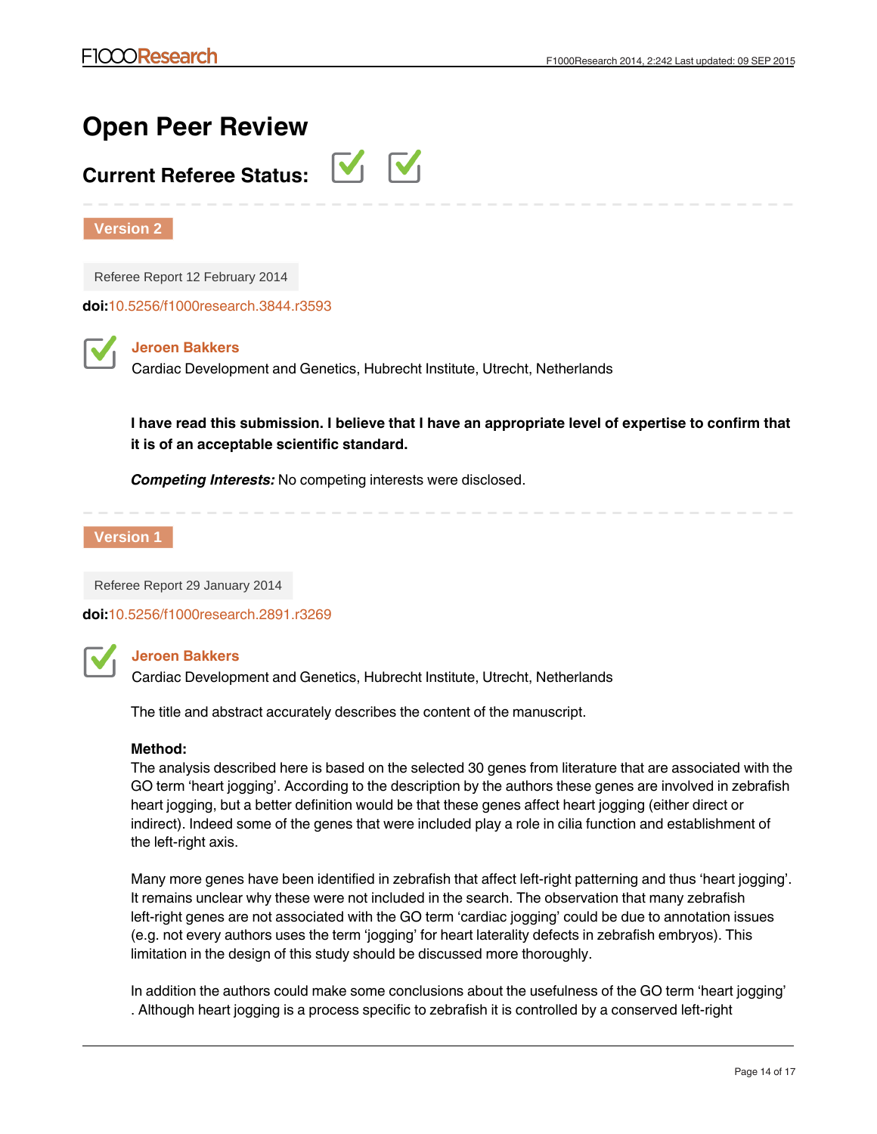# **Open Peer Review**

## **Current Referee Status:**



**Version 2**

Referee Report 12 February 2014

**doi:**[10.5256/f1000research.3844.r3593](http://dx.doi.org/10.5256/f1000research.3844.r3593)

## **Jeroen Bakkers**

Cardiac Development and Genetics, Hubrecht Institute, Utrecht, Netherlands

**I have read this submission. I believe that I have an appropriate level of expertise to confirm that it is of an acceptable scientific standard.**

*Competing Interests:* No competing interests were disclosed.

**Version 1**

Referee Report 29 January 2014

**doi:**[10.5256/f1000research.2891.r3269](http://dx.doi.org/10.5256/f1000research.2891.r3269)



## **Jeroen Bakkers**

Cardiac Development and Genetics, Hubrecht Institute, Utrecht, Netherlands

The title and abstract accurately describes the content of the manuscript.

## **Method:**

The analysis described here is based on the selected 30 genes from literature that are associated with the GO term 'heart jogging'. According to the description by the authors these genes are involved in zebrafish heart jogging, but a better definition would be that these genes affect heart jogging (either direct or indirect). Indeed some of the genes that were included play a role in cilia function and establishment of the left-right axis.

Many more genes have been identified in zebrafish that affect left-right patterning and thus 'heart jogging'. It remains unclear why these were not included in the search. The observation that many zebrafish left-right genes are not associated with the GO term 'cardiac jogging' could be due to annotation issues (e.g. not every authors uses the term 'jogging' for heart laterality defects in zebrafish embryos). This limitation in the design of this study should be discussed more thoroughly.

In addition the authors could make some conclusions about the usefulness of the GO term 'heart jogging' . Although heart jogging is a process specific to zebrafish it is controlled by a conserved left-right

patterning mechanism. However the GO term 'cardiac jogging' is associated with genes that control heart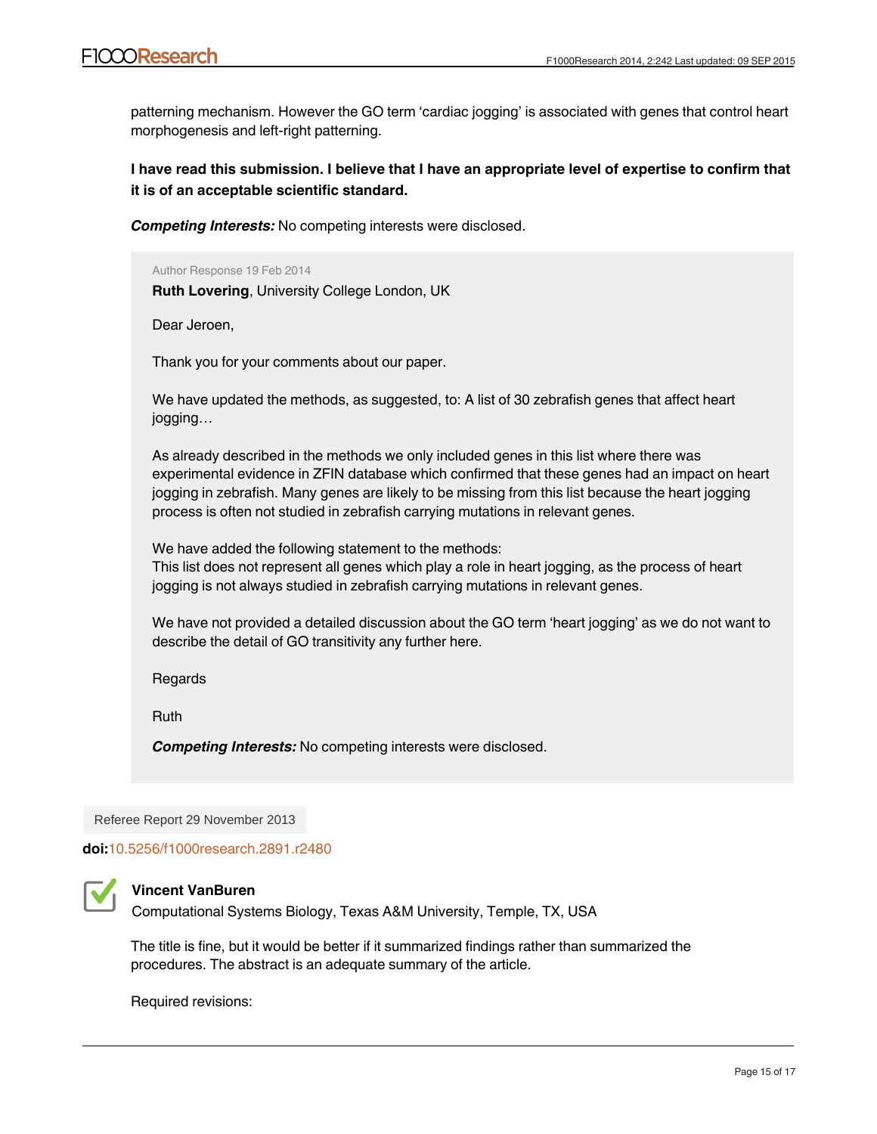patterning mechanism. However the GO term 'cardiac jogging' is associated with genes that control heart morphogenesis and left-right patterning.

**I have read this submission. I believe that I have an appropriate level of expertise to confirm that it is of an acceptable scientific standard.**

*Competing Interests:* No competing interests were disclosed.

Author Response 19 Feb 2014 **Ruth Lovering**, University College London, UK

Dear Jeroen,

Thank you for your comments about our paper.

We have updated the methods, as suggested, to: A list of 30 zebrafish genes that affect heart jogging…

As already described in the methods we only included genes in this list where there was experimental evidence in ZFIN database which confirmed that these genes had an impact on heart jogging in zebrafish. Many genes are likely to be missing from this list because the heart jogging process is often not studied in zebrafish carrying mutations in relevant genes.

We have added the following statement to the methods:

This list does not represent all genes which play a role in heart jogging, as the process of heart jogging is not always studied in zebrafish carrying mutations in relevant genes.

We have not provided a detailed discussion about the GO term 'heart jogging' as we do not want to describe the detail of GO transitivity any further here.

Regards

Ruth

*Competing Interests:* No competing interests were disclosed.

Referee Report 29 November 2013

**doi:**[10.5256/f1000research.2891.r2480](http://dx.doi.org/10.5256/f1000research.2891.r2480)



## **Vincent VanBuren**

Computational Systems Biology, Texas A&M University, Temple, TX, USA

The title is fine, but it would be better if it summarized findings rather than summarized the procedures. The abstract is an adequate summary of the article.

Methods- Generation of the list of zebrafish jogging genes: "*The search identified a further 23*

Required revisions: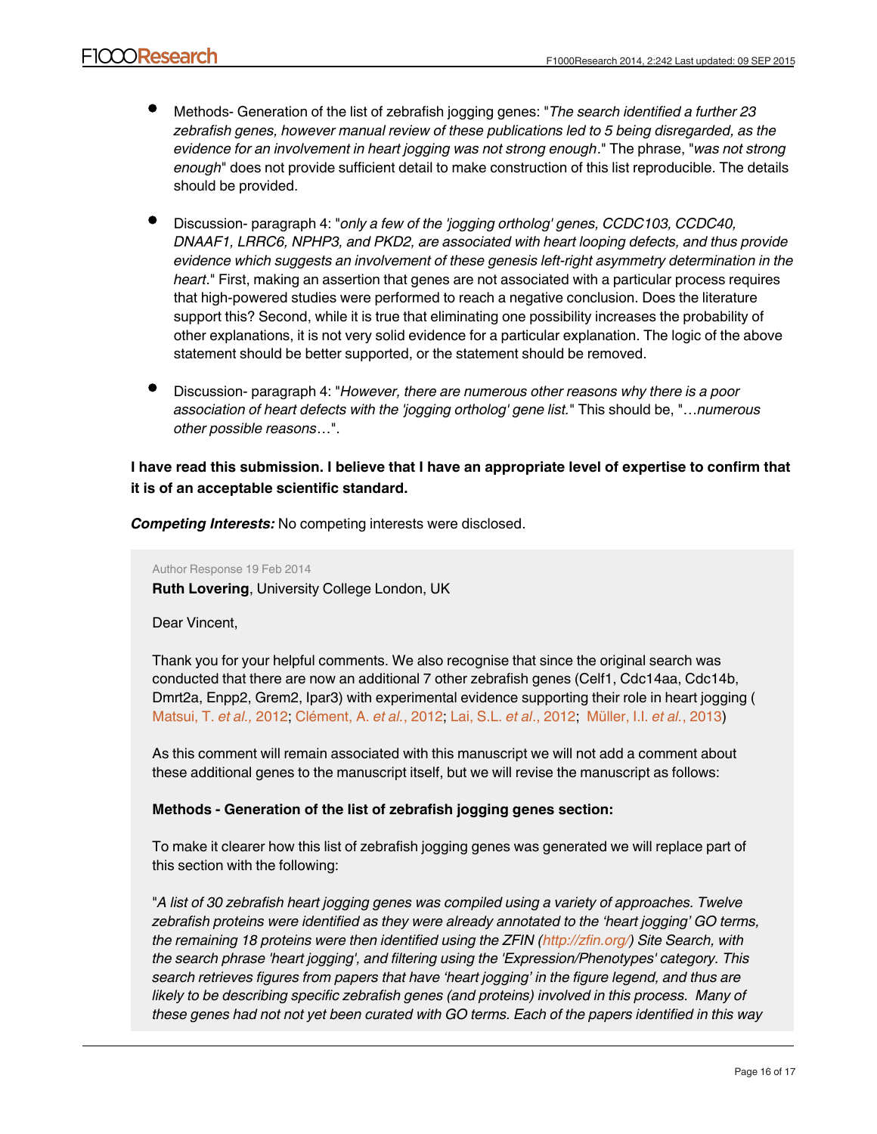- Methods- Generation of the list of zebrafish jogging genes: "*The search identified a further 23 zebrafish genes, however manual review of these publications led to 5 being disregarded, as the evidence for an involvement in heart jogging was not strong enough*." The phrase, "*was not strong enough*" does not provide sufficient detail to make construction of this list reproducible. The details should be provided.
- Discussion- paragraph 4: "*only a few of the 'jogging ortholog' genes, CCDC103, CCDC40, DNAAF1, LRRC6, NPHP3, and PKD2, are associated with heart looping defects, and thus provide evidence which suggests an involvement of these genesis left-right asymmetry determination in the heart*." First, making an assertion that genes are not associated with a particular process requires that high-powered studies were performed to reach a negative conclusion. Does the literature support this? Second, while it is true that eliminating one possibility increases the probability of other explanations, it is not very solid evidence for a particular explanation. The logic of the above statement should be better supported, or the statement should be removed.
- Discussion- paragraph 4: "*However, there are numerous other reasons why there is a poor association of heart defects with the 'jogging ortholog' gene list.*" This should be, "…*numerous other possible reasons*…".

## **I have read this submission. I believe that I have an appropriate level of expertise to confirm that it is of an acceptable scientific standard.**

*Competing Interests:* No competing interests were disclosed.

### Author Response 19 Feb 2014

**Ruth Lovering**, University College London, UK

## Dear Vincent,

Thank you for your helpful comments. We also recognise that since the original search was conducted that there are now an additional 7 other zebrafish genes (Celf1, Cdc14aa, Cdc14b, Dmrt2a, Enpp2, Grem2, Ipar3) with experimental evidence supporting their role in heart jogging ( [Matsui, T.](http://www.ncbi.nlm.nih.gov/pubmed/22899848) *et al.,* 2012; [Clément, A.](http://www.ncbi.nlm.nih.gov/pubmed/23027426) *et al.*, 2012; [Lai, S.L.](http://www.ncbi.nlm.nih.gov/pubmed/23095890) *et al*., 2012; [Müller, I.I.](http://www.ncbi.nlm.nih.gov/pubmed/23223679) *et al.*, 2013)

As this comment will remain associated with this manuscript we will not add a comment about these additional genes to the manuscript itself, but we will revise the manuscript as follows:

## **Methods - Generation of the list of zebrafish jogging genes section:**

To make it clearer how this list of zebrafish jogging genes was generated we will replace part of this section with the following:

"*A list of 30 zebrafish heart jogging genes was compiled using a variety of approaches. Twelve zebrafish proteins were identified as they were already annotated to the 'heart jogging' GO terms, the remaining 18 proteins were then identified using the ZFIN ([http://zfin.org/\)](http://zfin.org/) Site Search, with the search phrase 'heart jogging', and filtering using the 'Expression/Phenotypes' category. This search retrieves figures from papers that have 'heart jogging' in the figure legend, and thus are likely to be describing specific zebrafish genes (and proteins) involved in this process. Many of these genes had not not yet been curated with GO terms. Each of the papers identified in this way*

*were reviewed; of the 23 zebrafish genes identified in these papers five (Bmpr1aa, Tbx1,*